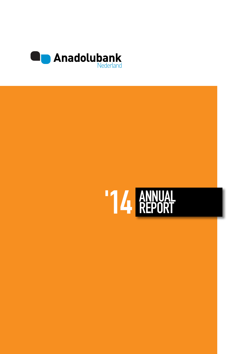

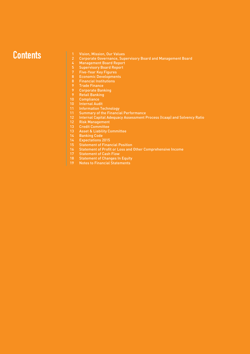# **Contents** Vision, Mission, Our Values

- 
- Corporate Governance, Supervisory Board and Management Board
- Management Board Report
- Supervisory Board Report 5
- Five-Year Key Figures 7
- Economic Developments
- Financial Institutions
- Trade Finance
- Corporate Banking
- Retail Banking
- Compliance 10
- Internal Audit 10
- Information Technology
- Summary of the Financial Performance
- Internal Capital Adequacy Assessment Process (Icaap) and Solvency Ratio
- Risk Management 12
- Credit Committee 13
- Asset & Liability Committee 13
- Banking Code
- Expectations 2015
- Statement of Financial Position
- Statement of Profit or Loss and Other Comprehensive Income
- Statement of Cash Flow
- Statement of Changes In Equity
- Notes to Financial Statements 19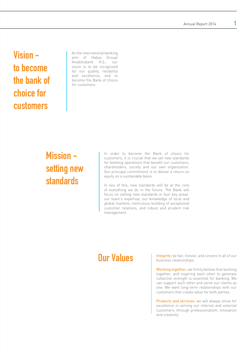Annual Report 2014 1

# Vision to become the bank of choice for customers

As the international banking arm of Habaş Group/ Anadolubank A.Ş., our vision is to be recognized for our quality, reliability and excellence, and to become the Bank of choice for customers.

# Mission setting new standards

In order to become the Bank of choice for customers, it is crucial that we set new standards for banking operations that benefit our customers, shareholders, society and our own organization. Our principal commitment is to deliver a return on equity on a sustainable basis.

In lieu of this, new standards will be at the core of everything we do in the future. The Bank will focus on setting new standards in four key areas: our team's expertise, our knowledge of local and global markets, meticulous building of exceptional customer relations, and robust and prudent risk management.

# Our Values

Integrity: be fair, honest, and sincere in all of our business relationships.

Working together: we firmly believe that working together, and inspiring each other to generate collective strength is essential for banking. We can support each other and serve our clients as one. We want long-term relationships with our customers that create value for both parties.

Products and services: we will always strive for excellence in serving our internal and external customers, through professionalism, innovation and creativity.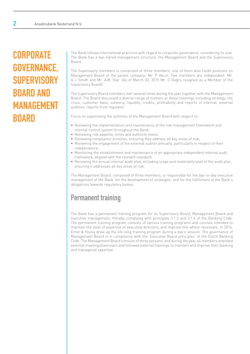# **CORPORATE** GOVERNANCE, **SUPERVISORY** BOARD AND MANAGEMENT **BOARD**

The Bank follows international practices with regard to corporate governance, considering its size. The Bank has a two-tiered management structure, the Management Board and the Supervisory Board.

The Supervisory members is comprised of three members, one of them also holds positions on Management Board of the parent company: Mr. P Akçin. Two members are independent: Mr. A.J. Smith and Mr. A.B. Star. (As of March 30, 2015 Mr. C Doğru resigned as a Member of the Supervisory Board)

The Supervisory Board members met several times during the year together with the Management Board. The Board discussed a diverse range of matters at these meetings including strategy, the crisis, customer base, solvency, liquidity, credits, profitability and reports of internal, external auditors, reports from regulator.

Focus on supervising the activities of the Management Board with respect to:

- Reviewing the implementation and maintenance of the risk management framework and internal control system throughout the Bank;
- Reviewing risk appetite, limits and authority levels;
- Reviewing compliance activities, ensuring they address all key areas of risk;
- Reviewing the engagement of the external auditor annually, particularly in respect of their independence;
- Monitoring the establishment and maintenance of an appropriate independent internal audit framework, aligned with the relevant standard;
- Reviewing the annual internal audit plan, including scope and materiality level of the audit plan, ensuring it addresses all key areas of risk.

The Management Board, composed of three members, is responsible for the day-to-day executive management of the Bank, for the development of strategies, and for the fulfillment of the Bank's obligations towards regulatory bodies.

# Permanent training

The Bank has a permanent training program for its Supervisory Board, Management Board and executive management, thereby complying with principles 3.1.3 and 3.1.4 of the Banking Code. The permanent training program consists of various training programs and courses intended to maintain the level of expertise of executive directors, and improve this where necessary. In 2014, Ernst & Young drew up the life-long training program during a day's session. The governance of Management Board is in compliance with the 'Executive Board principles' of the Dutch Banking Code. The Management Board consists of three persons, and during the year all members attended external meetings/seminars and followed external trainings to maintain and improve their banking and managerial expertise.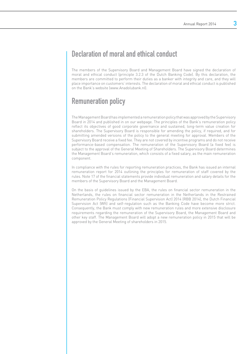# Declaration of moral and ethical conduct

The members of the Supervisory Board and Management Board have signed the declaration of moral and ethical conduct (principle 3.2.3 of the Dutch Banking Code). By this declaration, the members are committed to perform their duties as a banker with integrity and care, and they will place importance on customers' interests. The declaration of moral and ethical conduct is published on the Bank's website (www.Anadolubank.nl).

# Remuneration policy

The Management Board has implemented a remuneration policy that was approved by the Supervisory Board in 2014 and published in on our webpage. The principles of the Bank's remuneration policy reflect its objectives of good corporate governance and sustained, long-term value creation for shareholders. The Supervisory Board is responsible for amending the policy, if required, and for submitting amended versions of the policy to the general meeting for approval. Members of the Supervisory Board receive a fixed fee. They are not covered by incentive programs and do not receive performance-based compensation. The remuneration of the Supervisory Board (a fixed fee) is subject to the approval of the General Meeting of Shareholders. The Supervisory Board determines the Management Board's remuneration, which consists of a fixed salary, as the main remuneration component.

In compliance with the rules for reporting remuneration practices, the Bank has issued an internal remuneration report for 2014 outlining the principles for remuneration of staff covered by the rules. Note 17 of the financial statements provide individual remuneration and salary details for the members of the Supervisory Board and the Management Board.

On the basis of guidelines issued by the EBA, the rules on financial sector remuneration in the Netherlands, the rules on financial sector remuneration in the Netherlands in the Restrained Remuneration Policy Regulations (Financial Supervision Act) 2014 (RBB 2014), the Dutch Financial Supervision Act (Wft) and self-regulation such as the Banking Code have become more strict. Consequently, the Bank must comply with new remuneration rules and more extensive disclosure requirements regarding the remuneration of the Supervisory Board, the Management Board and other key staff. The Management Board will adopt a new remuneration policy in 2015 that will be approved by the General Meeting of shareholders in 2015.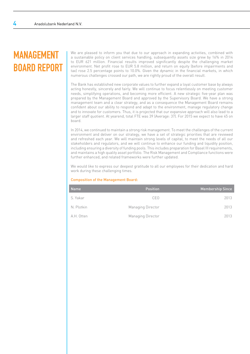# MANAGEMENT BOARD REPORT

We are pleased to inform you that due to our approach in expanding activities, combined with a sustainable policy on client services handling, subsequently assets size grew by 16% in 2014 to EUR 621 million. Financial results improved significantly despite the challenging market environment. Net profit rose to EUR 5.8 million, and return on equity (before impairments and tax) rose 2.5 percentage points to 10.0%. Given the dynamic in the financial markets, in which numerous challenges crossed our path, we are rightly proud of the overall result.

The Bank has established new corporate values to further expand a loyal customer base by always acting honestly, sincerely and fairly. We will continue to focus relentlessly on meeting customer needs, simplifying operations, and becoming more efficient. A new strategic five-year plan was prepared by the Management Board and approved by the Supervisory Board. We have a strong management team and a clear strategy, and as a consequence the Management Board remains confident about our ability to respond and adapt to the environment, manage regulatory change and to innovate for customers. Thus, it is projected that our expansive approach will also lead to a larger staff quotient. At yearend, total FTE was 39 (Average: 37). For 2015 we expect to have 45 on board.

In 2014, we continued to maintain a strong risk management. To meet the challenges of the current environment and deliver on our strategy, we have a set of strategic priorities that are reviewed and refreshed each year. We will maintain strong levels of capital, to meet the needs of all our stakeholders and regulators, and we will continue to enhance our funding and liquidity position, including ensuring a diversity of funding pools. This includes preparation for Basel III requirements, and maintains a high quality asset portfolio. The Risk Management and Compliance functions were further enhanced, and related frameworks were further updated.

We would like to express our deepest gratitude to all our employees for their dedication and hard work during these challenging times.

#### Composition of the Management Board:

| <b>Name</b> | <b>Position</b>   | <b>Membership Since</b> |
|-------------|-------------------|-------------------------|
| S. Yakar    | CEO.              | 2013                    |
| N. Plotkin  | Managing Director | 2013                    |
| A.H. Otten  | Managing Director | 2013                    |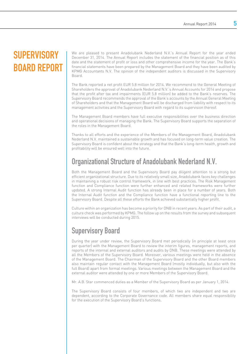# **SUPERVISORY** BOARD REPORT

We are pleased to present Anadolubank Nederland N.V.'s Annual Report for the year ended December 31, 2014. The Annual Report includes the statement of the financial position as of this date and the statement of profit or loss and other comprehensive income for the year. The Bank's financial statements have been prepared by the Management Board and they have been audited by KPMG Accountants N.V. The opinion of the independent auditors is discussed in the Supervisory Board.

The Bank reported a net profit EUR 5.8 million for 2014. We recommend to the General Meeting of Shareholders the approval of Anadolubank Nederland N.V.'s Annual Accounts for 2014 and propose that the profit after tax and impairments (EUR 5.8 million) be added to the Bank's reserves. The Supervisory Board recommends the approval of the Bank's accounts by the Annual General Meeting of Shareholders and that the Management Board will be discharged from liability with respect to its management activities and the Supervisory Board with regard to its supervision thereof.

The Management Board members have full executive responsibilities over the business direction and operational decisions of managing the Bank. The Supervisory Board supports the separation of the roles in the Management Board.

Thanks to all efforts and the experience of the Members of the Management Board, Anadolubank Nederland N.V. maintained a sustainable growth and has focused on long-term value creation. The Supervisory Board is confident about the strategy and that the Bank's long-term health, growth and profitability will be ensured well into the future.

# Organizational Structure of Anadolubank Nederland N.V.

Both the Management Board and the Supervisory Board pay diligent attention to a strong but efficient organizational structure. Due to its relatively small size, Anadolubank faces key challenges in maintaining a robust risk control framework, in line with best practices. The Risk Management function and Compliance function were further enhanced and related frameworks were further updated. A strong Internal Audit function has already been in place for a number of years. Both the Internal Audit function and the Compliance function have a functional reporting line to the Supervisory Board. Despite all these efforts the Bank achieved substantially higher profit.

Culture within an organization has become a priority for DNB in recent years. As part of their audit, a culture check was performed by KPMG. The follow up on the results from the survey and subsequent interviews will be conducted during 2015.

# Supervisory Board

During the year under review, the Supervisory Board met periodically (in principle at least once per quarter) with the Management Board to review the interim figures, management reports, and reports of the internal and external auditors and audits by DNB. These meetings were attended by all the Members of the Supervisory Board. Moreover, various meetings were held in the absence of the Management Board. The Chairman of the Supervisory Board and the other Board members also maintain regular contact with the Management Board (mostly individually, but also with the full Board) apart from formal meetings. Various meetings between the Management Board and the external auditor were attended by one or more Members of the Supervisory Board.

Mr. A.B. Star commenced duties as a Member of the Supervisory Board as per January 1, 2014.

The Supervisory Board consists of four members, of which two are independent and two are dependent, according to the Corporate Governance code. All members share equal responsibility for the execution of the Supervisory Board's functions.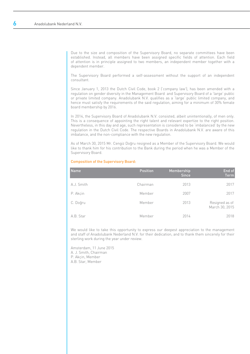Due to the size and composition of the Supervisory Board, no separate committees have been established. Instead, all members have been assigned specific fields of attention. Each field of attention is in principle assigned to two members, an independent member together with a dependent member.

The Supervisory Board performed a self-assessment without the support of an independent consultant.

Since January 1, 2013 the Dutch Civil Code, book 2 ('company law'), has been amended with a regulation on gender diversity in the Management Board and Supervisory Board of a 'large' public or private limited company. Anadolubank N.V. qualifies as a 'large' public limited company, and hence must satisfy the requirements of the said regulation, aiming for a minimum of 30% female board membership by 2016.

In 2014, the Supervisory Board of Anadolubank N.V. consisted, albeit unintentionally, of men only. This is a consequence of appointing the right talent and relevant expertize to the right position. Nevertheless, in this day and age, such representation is considered to be 'imbalanced' by the new regulation in the Dutch Civil Code. The respective Boards in Anadolubank N.V. are aware of this imbalance, and the non-compliance with the new regulation.

As of March 30, 2015 Mr. Cengiz Doğru resigned as a Member of the Supervisory Board. We would like to thank him for his contribution to the Bank during the period when he was a Member of the Supervisory Board.

#### Composition of the Supervisory Board:

| <b>Name</b> | <b>Position</b> | Membership<br><b>Since</b> | End of<br><b>Term</b>            |
|-------------|-----------------|----------------------------|----------------------------------|
| A.J. Smith  | Chairman        | 2013                       | 2017                             |
| P. Akcin    | Member          | 2007                       | 2017                             |
| C. Doğru    | Member          | 2013                       | Resigned as of<br>March 30, 2015 |
| A.B. Star   | Member          | 2014                       | 2018                             |

We would like to take this opportunity to express our deepest appreciation to the management and staff of Anadolubank Nederland N.V. for their dedication, and to thank them sincerely for their sterling work during the year under review.

Amsterdam, 11 June 2015 A. J. Smith, Chairman P. Akçin, Member A.B. Star, Member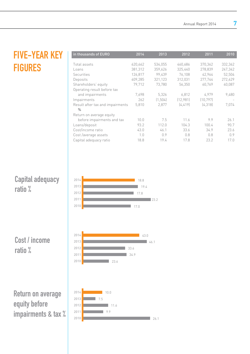# FIVE-YEAR KEY **FIGURES**

| in thousands of EURO             | 2014    | 2013     | 2012     | 2011      | 2010    |
|----------------------------------|---------|----------|----------|-----------|---------|
| Total assets                     | 620,662 | 534,055  | 460,686  | 370,362   | 332,362 |
| Loans                            | 381,312 | 359,626  | 325,440  | 278,839   | 247,342 |
| <b>Securities</b>                | 126,817 | 99,439   | 76,108   | 42,964    | 52,504  |
| Deposits                         | 409,285 | 321,123  | 312,031  | 277,744   | 272,629 |
| Shareholders' equity             | 79,712  | 73.780   | 56,350   | 60,769    | 40,087  |
| Operating result before tax      |         |          |          |           |         |
| and impairments                  | 7.698   | 5,326    | 6.812    | 4.979     | 9,480   |
| Impairments                      | 262     | (1, 504) | [12.981] | (10, 797) |         |
| Result after tax and impairments | 5,810   | 2,877    | (4, 419) | (4, 318)  | 7.074   |
| $\%$                             |         |          |          |           |         |
| Return on average equity         |         |          |          |           |         |
| before impairments and tax       | 10.0    | 7.5      | 11.6     | 9.9       | 26.1    |
| Loans/deposit                    | 93.2    | 112.0    | 104.3    | 100.4     | 90.7    |
| Cost/income ratio                | 43.0    | 46.1     | 33.6     | 34.9      | 23.6    |
| Cost /average assets             | 1.0     | 0.9      | 0.8      | 0.8       | 0.9     |
| Capital adequacy ratio           | 18.8    | 19.4     | 17.8     | 23.2      | 17.0    |
|                                  |         |          |          |           |         |

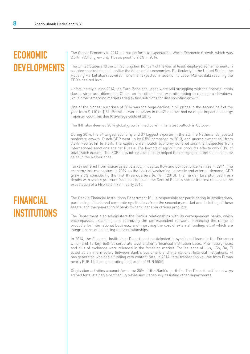# ECONOMIC **DEVELOPMENTS**

The Global Economy in 2014 did not perform to expectation. World Economic Growth, which was 2.5% in 2013, grew only 1 basis point to 2.6% in 2014.

The United States and the United Kingdom (for part of the year at least) displayed some momentum as labor markets healed, unlike the other major economies. Particularly in the United States, the Housing Market also recovered more than expected, in addition to Labor Market data reaching the FED's desired level.

Unfortunately during 2014, the Euro-Zone and Japan were still struggling with the financial crisis due to structural dilemmas. China, on the other hand, was attempting to manage a slowdown, while other emerging markets tried to find solutions for disappointing growth.

One of the biggest surprises of 2014 was the huge decline in oil prices in the second half of the year from \$ 110 to \$ 55 (Brent). Lower oil prices in the 4th quarter had no major impact on energy importer countries due to average costs of 2014.

The IMF also deemed 2014 global growth "mediocre" in its latest outlook in October.

During 2014, the 5<sup>th</sup> largest economy and 3<sup>rd</sup> biggest exporter in the EU, the Netherlands, posted moderate growth. Dutch GDP went up by 0.5% compared to 2013, and unemployment fell from 7.3% (Feb 2014) to 6.5%. The export driven Dutch economy suffered less than expected from international sanctions against Russia. The boycott of agricultural products affects only 0.1% of total Dutch exports. The ECB's low interest rate policy helped the mortgage market to boost home sales in the Netherlands.

Turkey suffered from exacerbated volatility in capital flow and political uncertainties in 2014. The economy lost momentum in 2014 on the back of weakening domestic and external demand. GDP grew 2.8% considering the first three quarters (4.1% in 2013). The Turkish Lira plumbed fresh depths with severe pressure from politicians on the Central Bank to reduce interest rates, and the expectation of a FED rate hike in early 2015.

# FINANCIAL **INSTITUTIONS**

The Bank's Financial Institutions Department (FI) is responsible for participating in syndications, purchasing of bank and corporate syndications from the secondary market and forfeiting of these assets, and the generation of bank-to-bank loans via various products.

The Department also administers the Bank's relationships with its correspondent banks, which encompasses expanding and optimizing the correspondent network, enhancing the range of products for international business, and improving the cost of external funding; all of which are integral parts of bolstering these relationships.

In 2014, the Financial Institutions Department participated in syndicated loans in the European Union and Turkey, both at corporate level and on a financial institution basis. Promissory notes and bills of exchange were released in the forfeiting market. For issuance of LCs, LGs, BA, FI acted as an intermediary between Bank's customers and International financial institutions. FI has generated wholesale funding with content rate. In 2014, total transaction volume from FI was nearly EUR 1 billion, generating total profit of EUR 550K.

Origination activities account for some 35% of the Bank's portfolio. The Department has always strived for sustainable profitability while simultaneously assisting other departments.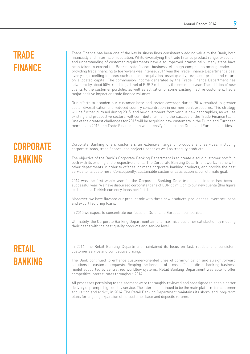# **TRADE FINANCE**

Trade Finance has been one of the key business lines consistently adding value to the Bank, both financially and in terms of reputation. While diversifying the trade finance product range, execution and understanding of customer requirements have also improved dramatically. Many steps have been taken to expand the Bank's trade finance business. Although competition among lenders in providing trade financing to borrowers was intense, 2014 was the Trade Finance Department's best ever year, excelling in areas such as client acquisition, asset quality, revenues, profits and return on allocated capital. The commission income generated by the Trade Finance Department has advanced by about 50%, reaching a level of EUR 2 million by the end of the year. The addition of new clients to the customer portfolio, as well as activation of some existing inactive customers, had a major positive impact on trade finance volumes.

Our efforts to broaden our customer base and sector coverage during 2014 resulted in greater sector diversification and reduced country concentration in our non-bank exposures. This strategy will be further pursued during 2015, and new customers from various new geographies, as well as existing and prospective sectors, will contribute further to the success of the Trade Finance team. One of the greatest challenges for 2015 will be acquiring new customers in the Dutch and European markets. In 2015, the Trade Finance team will intensify focus on the Dutch and European entities.

# **CORPORATE** BANKING

Corporate Banking offers customers an extensive range of products and services, including corporate loans, trade finance, and project finance as well as treasury products.

The objective of the Bank's Corporate Banking Department is to create a solid customer portfolio both with its existing and prospective clients. The Corporate Banking Department works in line with other departments in order to offer tailor made corporate banking products, and provide the best service to its customers. Consequently, sustainable customer satisfaction is our ultimate goal.

2014 was the first whole year for the Corporate Banking Department, and indeed has been a successful year. We have disbursed corporate loans of EUR 65 million to our new clients (this figure excludes the Turkish currency loans portfolio).

Moreover, we have flavored our product mix with three new products; pool deposit, overdraft loans and export factoring loans.

In 2015 we expect to concentrate our focus on Dutch and European companies.

Ultimately, the Corporate Banking Department aims to maximize customer satisfaction by meeting their needs with the best quality products and service level.

# RETAIL BANKING

In 2014, the Retail Banking Department maintained its focus on fast, reliable and consistent customer service and competitive pricing.

The Bank continued to enhance customer-oriented lines of communication and straightforward solutions to customer requests. Reaping the benefits of a cost efficient direct banking business model supported by centralized workflow systems, Retail Banking Department was able to offer competitive interest rates throughout 2014.

All processes pertaining to the segment were thoroughly reviewed and redesigned to enable better delivery of prompt, high quality service. The internet continued to be the main platform for customer acquisition and activity in 2014. The Retail Banking Department maintains its short- and long-term plans for ongoing expansion of its customer base and deposits volume.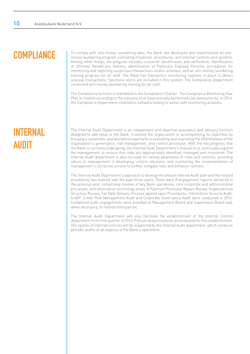# **COMPLIANCE**

To comply with anti-money laundering laws, the Bank has developed and implemented an antimoney laundering program consisting of policies, procedures, and internal controls and systems. Among other things, the program includes customer identification and verification, Identification of Ultimate Beneficiary Owners, identification of Politically Exposed Persons, procedures for monitoring and reporting suspicious transactions and/or activities, and an anti-money laundering training program for all staff. The Bank has transaction monitoring systems in place to detect unusual transactions. Sanctions alerts are included in this system. The Compliance Department conducted anti-money laundering training for all staff.

The Compliance function is mandated in the Compliance Charter. The Compliance Monitoring Year Plan is created according to the outcome of at least annually performed risk assessments. In 2014, the Compliance Department invested in software tooling to assist with monitoring activities.

# INTERNAL **AUDIT**

The Internal Audit Department is an independent and objective assurance and advisory function designed to add value to the Bank. It assists the organization in accomplishing its objectives by bringing a systematic and disciplined approach to evaluating and improving the effectiveness of the organization's governance, risk management, and control processes. With the key progress that the Bank is currently undergoing, the Internal Audit Department's mission is to continually support the management, to ensure that risks are appropriately identified, managed and monitored. The Internal Audit department is also focused on raising awareness of risks and controls, providing advice to management in developing control solutions, and monitoring the implementation of management's corrective actions to further mitigate risks and enhance controls.

The Internal Audit Department's approach to develop the annual Internal Audit plan and the related procedures has evolved over the past three years. There were 8 engagement reports delivered in the previous year, comprising reviews of key Bank operations, core corporate and administrative processes, and information technology areas. A Payment Processor Report Review, Organizational Structure Review, Tax Data Delivery Process agreed upon Procedures, Information Security Audit, ILAAP, Credit Risk Management Audit and Corporate Governance Audit were conducted in 2014. Completed audit engagements were provided to Management Board and Supervisory Board and, when necessary, to related third parties.

The Internal Audit Department will also facilitate the establishment of the Internal Control department in the first quarter of 2015. Policies and procedures are prepared for this establishment. The system of internal controls will be supported by the Internal Audit department, which conducts periodic audits of all aspects of the Bank's operations.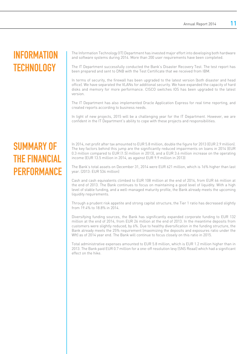# INFORMATION **TECHNOLOGY**

The Information Technology (IT) Department has invested major effort into developing both hardware and software systems during 2014. More than 200 user requirements have been completed.

The IT Department successfully conducted the Bank's Disaster Recovery Test. The test report has been prepared and sent to DNB with the Test Certificate that we received from IBM.

In terms of security, the firewall has been upgraded to the latest version (both disaster and head office). We have separated the VLANs for additional security. We have expanded the capacity of hard disks and memory for more performance. CISCO switches IOS has been upgraded to the latest version.

The IT Department has also implemented Oracle Application Express for real time reporting, and created reports according to business needs.

In light of new projects, 2015 will be a challenging year for the IT Department. However, we are confident in the IT Department's ability to cope with these projects and responsibilities.

# SUMMARY OF THE FINANCIAL **PERFORMANCE**

In 2014, net profit after tax amounted to EUR 5.8 million, double the figure for 2013 (EUR 2.9 million). The key factors behind this jump are the significantly reduced impairments on loans in 2014 (EUR 0.3 million compared to EUR (1.5) million in 2013), and a EUR 3.6 million increase on the operating income (EUR 13.5 million in 2014, as against EUR 9.9 million in 2013)

The Bank's total assets on December 31, 2014 were EUR 621 million, which is 16% higher than last year. (2013: EUR 534 million)

Cash and cash equivalents climbed to EUR 108 million at the end of 2014, from EUR 66 million at the end of 2013. The Bank continues to focus on maintaining a good level of liquidity. With a high level of stable funding, and a well-managed maturity profile, the Bank already meets the upcoming liquidity requirements.

Through a prudent risk appetite and strong capital structure, the Tier 1 ratio has decreased slightly from 19.4% to 18.8% in 2014.

Diversifying funding sources, the Bank has significantly expanded corporate funding to EUR 132 million at the end of 2014, from EUR 26 million at the end of 2013. In the meantime deposits from customers were slightly reduced, by 6%. Due to healthy diversification in the funding structure, the Bank already meets the 25% requirement (maximizing the deposits and exposures ratio under the Wft) as of 2014 year end. The Bank will continue to focus closely on this ratio in 2015.

Total administrative expenses amounted to EUR 5.8 million, which is EUR 1.2 million higher than in 2013. The Bank paid EUR 0.7 million for a one-off resolution levy (SNS Reaal) which had a significant effect on the hike.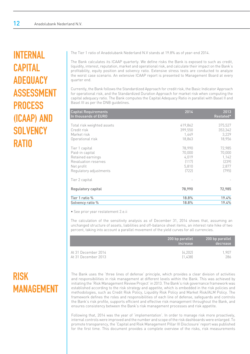# INTERNAL CAPITAL ADEQUACY ASSESSMENT PROCESS (ICAAP) AND **SOLVENCY RATIO**

The Tier 1 ratio of Anadolubank Nederland N.V stands at 19.8% as of year-end 2014.

The Bank calculates its ICAAP quarterly. We define risks the Bank is exposed to such as credit, liquidity, interest, reputation, market and operational risk, and calculate their impact on the Bank's profitability, equity position and solvency ratio. Extensive stress tests are conducted to analyze the worst case scenario. An extensive ICAAP report is presented to Management Board at every quarter end.

Currently, the Bank follows the Standardized Approach for credit risk, the Basic Indicator Approach for operational risk, and the Standardized Duration Approach for market risk when computing the capital adequacy ratio. The Bank computes the Capital Adequacy Ratio in parallel with Basel II and Basel III as per the DNB guidelines.

| <b>Capital Requirements</b><br>In thousands of EURO | 2014    | 2013<br>Restated* |
|-----------------------------------------------------|---------|-------------------|
| Total risk weighted assets                          | 419,862 | 375,527           |
| Credit risk                                         | 399,550 | 353,342           |
| Market risk                                         | 1,449   | 3,229             |
| Operational risk                                    | 18,863  | 18,956            |
| Tier 1 capital                                      | 78,990  | 72,985            |
| Paid-in capital                                     | 70,000  | 70,000            |
| Retained earnings                                   | 4,019   | 1,142             |
| Revaluation reserves                                | (117)   | [239]             |
| Net profit                                          | 5,810   | 2,877             |
| Regulatory adjustments                              | [722]   | (795)             |
| Tier 2 capital                                      |         |                   |
| Regulatory capital                                  | 78,990  | 72,985            |
| Tier 1 ratio %                                      | 18.8%   | 19.4%             |
| Solvency ratio %                                    | 18.8%   | 19.4%             |

• See prior year restatement 2.e.ii

The calculation of the sensitivity analysis as of December 31, 2014 shows that, assuming an unchanged structure of assets, liabilities and off-balance sheet items, an interest rate hike of two percent, taking into account a parallel movement of the yield curves for all currencies.

|                     | 200 bp parallel<br>increase | 200 bp parallel<br>decrease |
|---------------------|-----------------------------|-----------------------------|
| At 31 December 2014 | [4.202]                     | 1.907                       |
| At 31 December 2013 | [1 4.38]                    | 286                         |

The Bank uses the 'three lines of defense' principle, which provides a clear division of activities and responsibilities in risk management at different levels within the Bank. This was achieved by initiating the 'Risk Management Review Project' in 2013. The Bank's risk governance framework was established according to the risk strategy and appetite, which is embedded in the risk policies and methodologies, such as Credit Risk Policy, Liquidity Risk Policy and Market Risk/ALM Policy. The framework defines the roles and responsibilities of each line of defense, safeguards and controls the Bank's risk profile, supports efficient and effective risk management throughout the Bank, and ensures consistency between the Bank's risk management processes and risk appetite.

Following that, 2014 was the year of 'implementation'. In order to manage risk more proactively, internal controls were improved and the number and scope of the risk dashboards were enlarged. To promote transparency, the 'Capital and Risk Management Pillar III Disclosure' report was published for the first time. This document provides a complete overview of the risks, risk measurements

# RISK MANAGEMENT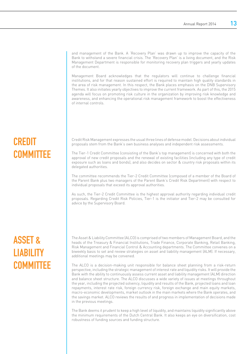and management of the Bank. A 'Recovery Plan' was drawn up to improve the capacity of the Bank to withstand a severe financial crisis. The 'Recovery Plan' is a living document, and the Risk Management Department is responsible for monitoring recovery plan triggers and yearly updates of the document.

Management Board acknowledges that the regulators will continue to challenge financial institutions, and for that reason sustained effort is required to maintain high quality standards in the area of risk management. In this respect, the Bank places emphasis on the DNB Supervisory Themes. It also initiates yearly objectives to improve the current framework. As part of this, the 2015 agenda will focus on promoting risk culture in the organization by improving risk knowledge and awareness, and enhancing the operational risk management framework to boost the effectiveness of internal controls.

# CREDIT **COMMITTEE**

Credit Risk Management expresses the usual three lines of defense model. Decisions about individual proposals stem from the Bank's own business analyses and independent risk assessments.

The Tier-1 Credit Committee (consisting of the Bank's top management) is concerned with both the approval of new credit proposals and the renewal of existing facilities (including any type of credit exposure such as loans and bonds), and also decides on sector & country risk proposals within its delegated authorities.

The committee recommends the Tier-2 Credit Committee (composed of a member of the Board of the Parent Bank plus two managers of the Parent Bank's Credit Risk Department) with respect to individual proposals that exceed its approval authorities.

As such, the Tier-2 Credit Committee is the highest approval authority regarding individual credit proposals. Regarding Credit Risk Policies, Tier-1 is the initiator and Tier-2 may be consulted for advice by the Supervisory Board.

# ASSET & **LIABILITY COMMITTEE**

The Asset & Liability Committee (ALCO) is comprised of two members of Management Board, and the heads of the Treasury & Financial Institutions, Trade Finance, Corporate Banking, Retail Banking, Risk Management and Financial Control & Accounting departments. The Committee convenes on a biweekly basis to set and review strategies on asset and liability management (ALM). If necessary, additional meetings may be convened.

The ALCO is a decision-making unit responsible for balance sheet planning from a risk-return perspective, including the strategic management of interest rate and liquidity risks. It will provide the Bank with the ability to continuously assess current asset and liability management (ALM) direction and balance sheet structure. The ALCO discusses a wide variety of issues at meetings throughout the year, including the projected solvency, liquidity and results of the Bank, projected loans and loan repayments, interest rate risk, foreign currency risk, foreign exchange and main equity markets, macro-economic developments, market outlook in the main markets where the Bank operates, and the savings market. ALCO reviews the results of and progress in implementation of decisions made in the previous meetings.

The Bank deems it prudent to keep a high level of liquidity, and maintains liquidity significantly above the minimum requirements of the Dutch Central Bank. It also keeps an eye on diversification, cost robustness of funding sources and funding structure.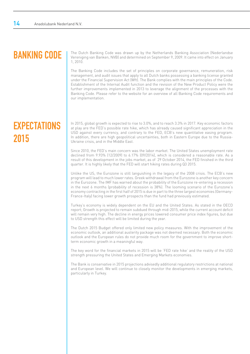# BANKING CODE

The Dutch Banking Code was drawn up by the Netherlands Banking Association (Nederlandse Vereniging van Banken, NVB) and determined on September 9, 2009. It came into effect on January 1, 2010.

The Banking Code includes the set of principles on corporate governance, remuneration, risk management, and audit issues that apply to all Dutch banks possessing a banking license granted under the Financial Supervision Act (Wft). The Bank complies with the main principles of the Code. Establishment of the Internal Audit function and the revision of the New Product Policy were the further improvements implemented in 2013 to leverage the alignment of the processes with the Banking Code. Please refer to the website for an overview of all Banking Code requirements and our implementation.

# **EXPECTATIONS** 2015

In 2015, global growth is expected to rise to 3.0%, and to reach 3.3% in 2017. Key economic factors at play are the FED's possible rate hike, which has already caused significant appreciation in the USD against every currency, and contrary to the FED, ECB's new quantitative easing program. In addition, there are high geopolitical uncertainties, both in Eastern Europe due to the Russia-Ukraine crisis, and in the Middle East.

Since 2010, the FED's main concern was the labor market. The United States unemployment rate declined from 9.93% (12/2009) to 6.17% (09/2014), which is considered a reasonable rate. As a result of this development in the jobs market, as of 29 October 2014, the FED finished in the third quarter. It is highly likely that the FED will start hiking rates during Q3 2015.

Unlike the US, the Eurozone is still languishing in the legacy of the 2008 crisis. The ECB's new program will lead to much lower rates. Greek withdrawal from the Eurozone is another key concern in the Eurozone. The IMF has warned about the probability of the Eurozone re-entering a recession in the next 6 months (probability of recession is 38%). The looming scenario of the Eurozone's economy contracting in the first half of 2015 is due in part to the three largest economies (Germany-France-Italy) facing lower growth prospects than the fund had previously estimated.

Turkey's economy is widely dependent on the EU and the United States. As stated in the OECD report; Growth is projected to remain subdued through mid-2015, while the current account deficit will remain very high. The decline in energy prices lowered consumer price index figures, but due to USD strength this effect will be limited during the year.

The Dutch 2015 Budget offered only limited new policy measures. With the improvement of the economic outlook, an additional austerity package was not deemed necessary. Both the economic outlook and the European rules do not provide much room for the government to improve shortterm economic growth in a meaningful way.

The key word for the financial markets in 2015 will be 'FED rate hike' and the reality of the USD strength pressuring the United States and Emerging Markets economies.

The Bank is conservative in 2015 projections advisedly additional regulatory restrictions at national and European level. We will continue to closely monitor the developments in emerging markets, particularly in Turkey.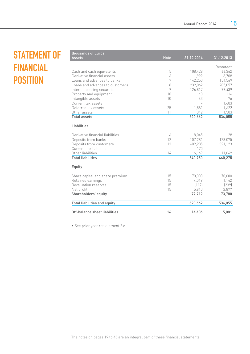# STATEMENT OF FINANCIAL **POSITION**

| <b>Assets</b>                       | <b>Note</b> | 31.12.2014 | 31.12.2013 |
|-------------------------------------|-------------|------------|------------|
|                                     |             |            | Restated*  |
| Cash and cash equivalents           | 5           | 108,428    | 66,362     |
| Derivative financial assets         | 6           | 1.999      | 3,708      |
| Loans and advances to banks         | 7           | 142,250    | 154,569    |
| Loans and advances to customers     | 8           | 239,062    | 205,057    |
| Interest bearing securities         | 9           | 126,817    | 99,439     |
| Property and equipment              | 10          | 140        | 116        |
| Intangible assets                   | 10          | 43         | 76         |
| Current tax assets                  |             |            | 1,603      |
| Deferred tax assets                 | 25          | 1,581      | 1,622      |
| Other assets                        | 11          | 342        | 1,503      |
| <b>Total assets</b>                 |             | 620,662    | 534,055    |
| Liabilities                         |             |            |            |
|                                     |             |            |            |
| Derivative financial liabilities    | 6           | 8,045      | 28         |
| Deposits from banks                 | 12          | 107,281    | 128,075    |
| Deposits from customers             | 13          | 409,285    | 321,123    |
| Current tax liabilities             |             | 170        |            |
| Other liabilities                   | 14          | 16,169     | 11,049     |
| <b>Total liabilities</b>            |             | 540,950    | 460,275    |
| Equity                              |             |            |            |
|                                     |             |            |            |
| Share capital and share premium     | 15          | 70,000     | 70,000     |
| Retained earnings                   | 15          | 4,019      | 1,142      |
| Revaluation reserves                | 15          | (117)      | (239)      |
| Net profit                          | 15          | 5,810      | 2,877      |
| Shareholders' equity                |             | 79,712     | 73,780     |
|                                     |             |            |            |
| <b>Total liabilities and equity</b> |             | 620,662    | 534,055    |
| Off-balance sheet liabilities       | 16          | 14,486     | 5,081      |

• See prior year restatement 2.e

thousands of Euros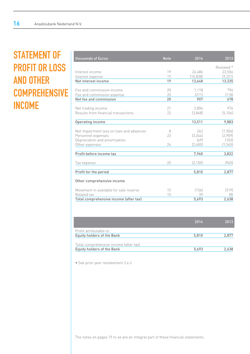# STATEMENT OF PROFIT OR LOSS AND OTHER **COMPREHENSIVE** INCOME

| thousands of Euros                       | <b>Note</b> | 2014      | 2013       |
|------------------------------------------|-------------|-----------|------------|
|                                          |             |           | Restated * |
| Interest income                          | 19          | 24,486    | 22,556     |
| Interest expense                         | 19          | (10, 838) | (9, 221)   |
| Net interest income                      | 19          | 13,648    | 13,335     |
| Fee and commission income                | 20          | 1,118     | 796        |
| Fee and commission expense               | 20          | [211]     | [118]      |
| Net fee and commission                   | 20          | 907       | 678        |
| Net trading income                       | 21          | 2,804     | 976        |
| Results from financial transactions      | 22          | (3,848)   | (5, 106)   |
| Operating income                         |             | 13,511    | 9,883      |
| Net impairment loss on loan and advances | 8           | 262       | (1, 504)   |
| Personnel expenses                       | 23          | [3, 344]  | (2,909)    |
| Depreciation and amortisation            |             | (69)      | (103)      |
| Other expenses                           | 24          | (2,400)   | (1, 545)   |
| Profit before income tax                 |             | 7,960     | 3,822      |
| Tax expense                              | 25          | (2, 150)  | (945)      |
| Profit for the period                    |             | 5,810     | 2,877      |
| Other comprehensive income               |             |           |            |
| Movement in available for sale reserve   | 15          | (156)     | [319]      |
| Related tax                              | 15          | 39        | 80         |
| Total comprehensive income (after tax)   |             | 5,693     | 2,638      |

|                                                                      | 2014  | 2013  |
|----------------------------------------------------------------------|-------|-------|
| Profit attributable to:                                              |       |       |
| Equity holders of the Bank                                           | 5.810 | 2.877 |
| Total comprehensive income (after tax)<br>Equity holders of the Bank | 5.693 | 2.638 |

• See prior year restatement 2.e.ii

The notes on pages 19 to 46 are an integral part of these financial statements.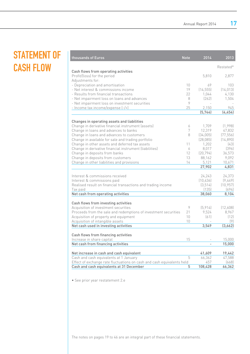# STATEMENT OF CASH FLOW

| thousands of Euros                                                                                       | <b>Note</b>           | 2014            | 2013              |
|----------------------------------------------------------------------------------------------------------|-----------------------|-----------------|-------------------|
|                                                                                                          |                       |                 | Restated*         |
| Cash flows from operating activities                                                                     |                       |                 |                   |
| Profit/(loss) for the period                                                                             |                       | 5,810           | 2,877             |
| Adjustments for:                                                                                         |                       |                 |                   |
| - Depreciation and amortisation<br>- Net interest & commissions income                                   | 10 <sup>°</sup><br>19 | 69<br>(14, 555) | 103<br>(14, 013)  |
| - Results from financial transactions                                                                    | 22                    | 1.044           | 4,130             |
| - Net impairment loss on loans and advances                                                              | 8                     | [262]           | 1,504             |
| - Net impairment loss on investment securities                                                           | 9                     |                 |                   |
| - Income tax income/expense [-/+]                                                                        | 25                    | 2,150           | 945               |
|                                                                                                          |                       | (5, 744)        | (4, 454)          |
|                                                                                                          |                       |                 |                   |
| Changes in operating assets and liabilities                                                              |                       |                 |                   |
| Change in derivative financial instrument (assets)                                                       | 6<br>7                | 1.709<br>12,319 | (1.998)<br>47,832 |
| Change in loans and advances to banks<br>Change in loans and advances to customers                       | 8                     | (34,005)        | (77, 556)         |
| Change in available for sale and trading portfolio                                                       |                       | [28,085]        | (14,890)          |
| Change in other assets and deferred tax assets                                                           | 11                    | 1,202           | (43)              |
| Change in derivative financial instrument (liabilities)                                                  | 6                     | 8,017           | (396)             |
| Change in deposits from banks                                                                            | 12                    | [20, 794]       | 36,573            |
| Change in deposits from customers                                                                        | 13                    | 88,162          | 9,092             |
| Change in other liabilities and provisions                                                               | 14                    | 5,121           | 10,671            |
|                                                                                                          |                       | 27,902          | 4,831             |
| Interest & commissions received                                                                          |                       | 24,243          | 24,373            |
| Interest & commissions paid                                                                              |                       | (10, 436)       | (9,449)           |
| Realised result on financial transactions and trading income                                             |                       | (3,514)         | (10, 957)         |
| Tax paid                                                                                                 |                       | (135)           | (694)             |
| Net cash from operating activities                                                                       |                       | 38,060          | 8,104             |
|                                                                                                          |                       |                 |                   |
| Cash flows from investing activities                                                                     |                       |                 |                   |
| Acquisition of investment securities                                                                     | 9                     | (5,914)         | (12,608)          |
| Proceeds from the sale and redemptions of investment securities<br>Acquisition of property and equipment | 21<br>10              | 9,524<br>[61]   | 8,967<br>(12)     |
| Acquisition of intangible assets                                                                         | 10                    |                 | (9)               |
| Net cash used in investing activities                                                                    |                       | 3,549           | (3,662)           |
|                                                                                                          |                       |                 |                   |
| Cash flows from financing activities                                                                     |                       |                 |                   |
| Increase in share capital                                                                                | 15                    |                 | 15,000            |
| Net cash from financing activities                                                                       |                       |                 | 15,000            |
| Net increase in cash and cash equivalent                                                                 |                       | 41,609          | 19,442            |
| Cash and cash equivalents at 1 January                                                                   | $\overline{5}$        | 66,362          | 47,588            |
| Effect of exchange rate fluctuations on cash and cash equivalents held                                   |                       | 457             | [668]             |
| Cash and cash equivalents at 31 December                                                                 | 5                     | 108,428         | 66,362            |

• See prior year restatement 2.e

The notes on pages 19 to 46 are an integral part of these financial statements.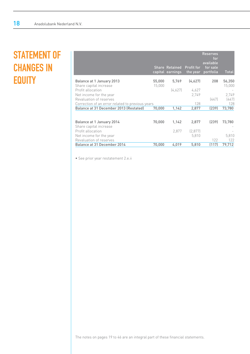# STATEMENT OF CHANGES IN **EQUITY**

|                                                     |        | <b>Share Retained</b><br>capital earnings | <b>Profit for</b><br>the year | <b>Reserves</b><br>for<br>available<br>for sale<br>portfolia | Total  |
|-----------------------------------------------------|--------|-------------------------------------------|-------------------------------|--------------------------------------------------------------|--------|
| Balance at 1 January 2013                           | 55,000 | 5,769                                     | (4,627)                       | 208                                                          | 56,350 |
| Share capital increase                              | 15,000 |                                           |                               |                                                              | 15,000 |
| Profit allocation                                   |        | (4,627)                                   | 4,627                         |                                                              |        |
| Net income for the year                             |        |                                           | 2.749                         |                                                              | 2,749  |
| Revaluation of reserves                             |        |                                           |                               | (447)                                                        | [447]  |
| Correction of an error related to previous years    |        |                                           | 128                           |                                                              | 128    |
| Balance at 31 December 2013 (Restated)              | 70,000 | 1,142                                     | 2,877                         | (239)                                                        | 73,780 |
|                                                     |        |                                           |                               |                                                              |        |
| Balance at 1 January 2014<br>Share capital increase | 70,000 | 1,142                                     | 2,877                         | (239)                                                        | 73,780 |
| Profit allocation                                   |        | 2.877                                     | [2,877]                       |                                                              |        |
| Net income for the year                             |        |                                           | 5,810                         |                                                              | 5,810  |
| Revaluation of reserves                             |        |                                           |                               | 122                                                          | 122    |
| Balance at 31 December 2014                         | 70,000 | 4,019                                     | 5,810                         | (117)                                                        | 79,712 |
|                                                     |        |                                           |                               |                                                              |        |

• See prior year restatement 2.e.ii

The notes on pages 19 to 46 are an integral part of these financial statements.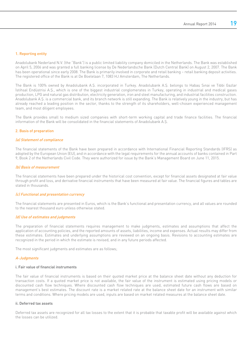## 1. Reporting entity

Anadolubank Nederland N.V. (the "Bank") is a public limited liability company domiciled in the Netherlands. The Bank was established on April 5, 2006 and was granted a full banking license by De Nederlandsche Bank (Dutch Central Bank) on August 2, 2007. The Bank has been operational since early 2008. The Bank is primarily involved in corporate and retail banking – retail banking deposit activities. The registered office of the Bank is at De Boelelaan 7, 1083 HJ Amsterdam, The Netherlands.

The Bank is 100% owned by Anadolubank A.Ş. incorporated in Turkey. Anadolubank A.Ş. belongs to Habaş Sınai ve Tıbbi Gazlar İstihsal Endüstrisi A.Ş., which is one of the biggest industrial conglomerates in Turkey, operating in industrial and medical gases production, LPG and natural gas distribution, electricity generation, iron and steel manufacturing, and industrial facilities construction. Anadolubank A.Ş. is a commercial bank, and its branch network is still expanding. The Bank is relatively young in the industry, but has already reached a leading position in the sector, thanks to the strength of its shareholders, well-chosen experienced management team, and most diligent employees.

The Bank provides small to medium sized companies with short-term working capital and trade finance facilities. The financial information of the Bank will be consolidated in the financial statements of Anadolubank A.Ş.

## 2. Basis of preparation

### (a) Statement of compliance

The financial statements of the Bank have been prepared in accordance with International Financial Reporting Standards (IFRS) as adopted by the European Union (EU), and in accordance with the legal requirements for the annual accounts of banks contained in Part 9, Book 2 of the Netherlands Civil Code. They were authorized for issue by the Bank's Management Board on June 11, 2015.

### (b) Basis of measurement

The financial statements have been prepared under the historical cost convention, except for financial assets designated at fair value through profit and loss, and derivative financial instruments that have been measured at fair value. The financial figures and tables are stated in thousands.

#### (c) Functional and presentation currency

The financial statements are presented in Euros, which is the Bank's functional and presentation currency, and all values are rounded to the nearest thousand euro unless otherwise stated.

### (d) Use of estimates and judgments

The preparation of financial statements requires management to make judgments, estimates and assumptions that affect the application of accounting policies, and the reported amounts of assets, liabilities, income and expenses. Actual results may differ from these estimates. Estimates and underlying assumptions are reviewed on an ongoing basis. Revisions to accounting estimates are recognized in the period in which the estimate is revised, and in any future periods affected.

The most significant judgments and estimates are as follows;

#### A-Judgments

### i. Fair value of financial instruments

The fair value of financial instruments is based on their quoted market price at the balance sheet date without any deduction for transaction costs. If a quoted market price is not available, the fair value of the instrument is estimated using pricing models or discounted cash flow techniques. Where discounted cash flow techniques are used, estimated future cash flows are based on management's best estimates. The discount rate is a market related rate at the balance sheet date for an instrument with similar terms and conditions. Where pricing models are used, inputs are based on market related measures at the balance sheet date.

### ii. Deferred tax assets

Deferred tax assets are recognized for all tax losses to the extent that it is probable that taxable profit will be available against which the losses can be utilized.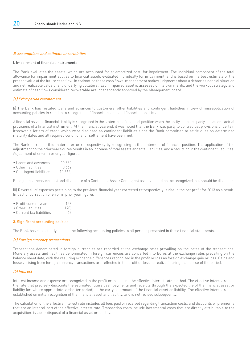## B-Assumptions and estimate uncertainties

#### i. Impairment of financial instruments

The Bank evaluates the assets, which are accounted for at amortized cost, for impairment. The individual component of the total allowance for impairment applies to financial assets evaluated individually for impairment, and is based on the best estimate of the present value of the future cash flow. In estimating these cash flows, management makes judgments about a debtor's financial situation and net realizable value of any underlying collateral. Each impaired asset is assessed on its own merits, and the workout strategy and estimate of cash flows considered recoverable are independently approved by the Management board.

## (e) Prior period restatement

(i) The Bank has restated loans and advances to customers, other liabilities and contingent liaibilties in view of missapplication of accounting policies in relation to recognition of financial assets and financial liabilities.

A financial asset or financial liability is recognised in the statement of financial position when the entity becomes party to the contractual provisions of a financial instrument. At the financial yearend, it was noted that the Bank was party to contractual provisions of certain irrecovable letters of credit which were disclosed as contingent liabilties since the Bank committed to settle dues on determined maturity dates and all required conditions for settlement have been met.

The Bank corrected this material error retrospectively by recognising in the statement of financial position. The application of the adjustment on the prior year figures results in an increase of total assets and total liabilities, and a reduction in the contingent liabilities. Adjustment of error in prior year figures:

- Loans and advances 10,662
- Other liabilities 10,662<br>• Contingent liabilities (10.662)
- Contingent liabilities

Recognition, measurement and disclosure of a Contingent Asset: Contingent assets should not be recognized, but should be disclosed.

(ii) Reversal of expenses pertaining to the previous financial year corrected retrospectively; a rise in the net profit for 2013 as a result. Impact of correction of error in prior year figures

- Profit current year 128<br>• Other liabilities (170)
- Other liabilities
- Current tax liabilities 42

### 3. Significant accounting policies

The Bank has consistently applied the following accounting policies to all periods presented in these financial statements.

### (a) Foreign currency transactions

Transactions denominated in foreign currencies are recorded at the exchange rates prevailing on the dates of the transactions. Monetary assets and liabilities denominated in foreign currencies are converted into Euros at the exchange rates prevailing on the balance sheet date, with the resulting exchange differences recognized in the profit or loss as foreign exchange gain or loss. Gains and losses arising from foreign currency transactions are reflected in the profit or loss as realized during the course of the period.

### (b) Interest

Interest income and expense are recognized in the profit or loss using the effective interest rate method. The effective interest rate is the rate that precisely discounts the estimated future cash payments and receipts through the expected life of the financial asset or liability (or, where appropriate, a shorter period) to the carrying amount of the financial asset or liability. The effective interest rate is established on initial recognition of the financial asset and liability, and is not revised subsequently.

The calculation of the effective interest rate includes all fees paid or received regarding transaction costs, and discounts or premiums that are an integral part of the effective interest rate. Transaction costs include incremental costs that are directly attributable to the acquisition, issue or disposal of a financial asset or liability.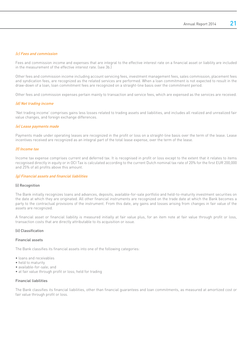## (c) Fees and commission

Fees and commission income and expenses that are integral to the effective interest rate on a financial asset or liability are included in the measurement of the effective interest rate. (see 3b.)

Other fees and commission income including account servicing fees, investment management fees, sales commission, placement fees and syndication fees, are recognized as the related services are performed. When a loan commitment is not expected to result in the draw-down of a loan, loan commitment fees are recognized on a straight-line basis over the commitment period.

Other fees and commission expenses pertain mainly to transaction and service fees, which are expensed as the services are received.

### (d) Net trading income

'Net trading income' comprises gains less losses related to trading assets and liabilities, and includes all realized and unrealized fair value changes, and foreign exchange differences.

## (e) Lease payments made

Payments made under operating leases are recognized in the profit or loss on a straight-line basis over the term of the lease. Lease incentives received are recognized as an integral part of the total lease expense, over the term of the lease.

### (f) Income tax

Income tax expense comprises current and deferred tax. It is recognised in profit or loss except to the extent that it relates to items recognised directly in equity or in OCI Tax is calculated according to the current Dutch nominal tax rate of 20% for the first EUR 200,000 and 25% of all profits above this amount.

### (g) Financial assets and financial liabilities

### (i) Recognition

The Bank initially recognizes loans and advances, deposits, available-for-sale portfolio and held-to-maturity investment securities on the date at which they are originated. All other financial instruments are recognized on the trade date at which the Bank becomes a party to the contractual provisions of the instrument. From this date, any gains and losses arising from changes in fair value of the assets are recognized.

A financial asset or financial liability is measured initially at fair value plus, for an item note at fair value through profit or loss, transaction costs that are directly attributable to its acquisition or issue.

### (ii) Classification

#### Financial assets

The Bank classifies its financial assets into one of the following categories:

- loans and receivables
- held to maturity
- available-for-sale; and
- at fair value through profit or loss; held for trading

#### Financial liabilities

The Bank classifies its financial liabilities, other than financial guarantees and loan commitments, as measured at amortized cost or fair value through profit or loss.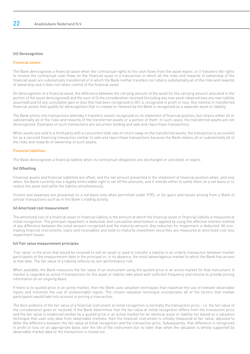### (iii) Derecognition

# Financial assets

The Bank derecognizes a financial asset when the contractual rights to the cash flows from the asset expire, or it transfers the rights to receive the contractual cash flows on the financial asset in a transaction in which all the risks and rewards of ownership of the financial asset are substantially transferred or in which the Bank neither transfers nor retains substantially all of the risks and rewards of ownership and it does not retain control of the financial asset.

On derecognition of a financial asset, the difference between the carrying amount of the asset (or the carrying amount allocated to the portion of the asset derecognized) and the sum of (i) the consideration received (including any new asset obtained less any new liability assumed) and (ii) any cumulative gain or loss that had been recognized in OCI is recognized in profit or loss. Any interest in transferred financial assets that qualify for derecognition that is created or retained by the Bank is recognized as a separate asset or liability.

The Bank enters into transactions whereby it transfers assets recognized on its statement of financial position, but retains either all or substantially all of the risks and rewards of the transferred assets or a portion of them. In such cases, the transferred assets are not derecognized. Examples of such transactions are securities lending and sale and repurchase transactions.

When assets are sold to a third party with a concurrent total rate of return swap on the transferred assets, the transaction is accounted for as a secured financing transaction similar to sale and repurchase transactions because the Bank retains all or substantially all of the risks and rewards of ownership of such assets.

## Financial liabilities

The Bank derecognizes a financial liability when its contractual obligations are discharged or cancelled, or expire.

### (iv) Offsetting

Financial assets and financial liabilities are offset, and the net amount presented in the statement of financial position when, and only when, the Bank currently has a legally enforceable right to set off the amounts, and it intends either to settle them on a net basis or to realize the asset and settle the liability simultaneously.

Income and expenses are presented on a net basis only when permitted under IFRS, or for gains and losses arising from a Bank of similar transactions such as in the Bank's trading activity.

### (v) Amortized cost measurement

The amortized cost of a financial asset or financial liability is the amount at which the financial asset or financial liability is measured at initial recognition. The principal repayment is deducted, and cumulative amortization is applied by using the effective interest method of any difference between the initial amount recognized and the maturity amount. Any reduction for impairment is deducted. All nontrading financial instruments, loans and receivables and held-to-maturity investment securities are measured at amortized cost less impairment losses.

### (vi) Fair value measurement principles

'Fair value' is the price that would be received to sell an asset or paid to transfer a liability in an orderly transaction between market participants at the measurement date in the principal or, in its absence, the most advantageous market to which the Bank has access at that date. The fair value of a liability reflects its non-performance risk.

When available, the Bank measures the fair value of an instrument using the quoted price in an active market for that instrument. A market is regarded as active if transactions for the asset or liability take place with sufficient frequency and volume to provide pricing information on an ongoing basis.

If there is no quoted price in an active market, then the Bank uses valuation techniques that maximize the use of relevant observable inputs and minimize the use of unobservable inputs. The chosen valuation technique incorporates all of the factors that market participants would take into account in pricing a transaction.

The best evidence of the fair value of a financial instrument at initial recognition is normally the transaction price - i.e. the fair value of the consideration given or received. If the Bank determines that the fair value at initial recognition differs from the transaction price and the fair value is evidenced neither by a quoted price in an active market for an identical asset or liability nor based on a valuation technique that uses only data from observable markets, then the financial instrument is initially measured at fair value, adjusted to defer the difference between the fair value at initial recognition and the transaction price. Subsequently, that difference is recognized in profit or loss on an appropriate basis over the life of the instrument but no later than when the valuation is wholly supported by observable market data or the transaction is closed out.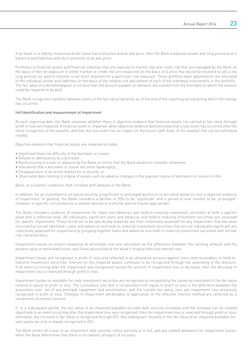If an asset or a liability measured at fair value has a bid price and an ask price, then the Bank measures assets and long positions at a bid price and liabilities and short positions at an ask price.

Portfolios of financial assets and financial liabilities that are exposed to market risk and credit risk that are managed by the Bank on the basis of the net exposure to either market or credit risk are measured on the basis of a price that would be received to sell a net long position (or paid to transfer a net short position) for a particular risk exposure. Those portfolio-level adjustments are allocated to the individual assets and liabilities on the basis of the relative risk adjustment of each of the individual instruments in the portfolio. The fair value of a demand deposit is not less than the amount payable on demand, discounted from the first date on which the amount could be required to be paid.

The Bank recognizes transfers between levels of the fair value hierarchy as of the end of the reporting period during which the change has occurred.

## (vii) Identification and measurement of impairment

At each reporting date, the Bank assesses whether there is objective evidence that financial assets not carried at fair value through profit or loss are impaired. A financial asset is 'impaired' when objective evidence demonstrates that a loss event has occurred after the initial recognition of the asset(s), and that the loss event has an impact on the future cash flows of the asset(s) that can be estimated reliably.

Objective evidence that financial assets are impaired includes:

- Significant financial difficulty of the borrower or issuer;
- Default or delinquency by a borrower;
- Restructuring of a loan or advance by the Bank on terms that the Bank would not consider otherwise;
- Indications that a borrower or issuer will enter bankruptcy;
- Disappearance of an active market for a security; or
- Observable data relating to a bank of assets such as adverse changes in the payment status of borrowers or issuers in the

Bank, or economic conditions that correlate with defaults in the Bank.

In addition, for an investment in an equity security, a significant or prolonged decline in its fair value below its cost is objective evidence of impairment. In general, the Bank considers a decline of 20% to be 'significant' and a period of nine months to be 'prolonged'. However, in specific circumstances a smaller decline or a shorter period may be appropriate.

The Bank considers evidence of impairment for loans and advances and held-to-maturity investment securities at both a specific asset and a collective level. All individually significant loans and advances and held-to-maturity investment securities are assessed for specific impairment. Those found not to be specifically impaired are then collectively assessed for any impairment that has been incurred but not yet identified. Loans and advances and held-to-maturity investment securities that are not individually significant are collectively assessed for impairment by grouping together loans and advances and held-to-maturity investment securities with similar risk characteristics.

Impairment losses on assets measured at amortized cost are calculated as the difference between the carrying amount and the present value of estimated future cash flows discounted at the asset's original effective interest rate.

Impairment losses are recognized in profit or loss and reflected in an allowance account against loans and receivables or held-tomaturity investment securities. Interest on the impaired assets continues to be recognized through the unwinding of the discount. If an event occurring after the impairment was recognized causes the amount of impairment loss to decrease, then the decrease in impairment loss is reversed through profit or loss.

Impairment losses on available-for-sale investment securities are recognized by reclassifying the losses accumulated in the fair value reserve in equity to profit or loss. The cumulative loss that is reclassified from equity to profit or loss is the difference between the acquisition cost, net of any principal repayment and amortization, and the current fair value, less any impairment loss previously recognized in profit or loss. Changes in impairment attributable to application of the effective interest method are reflected as a component of interest income.

If, in a subsequent period, the fair value of an impaired available-for-sale debt security increases and the increase can be related objectively to an event occurring after the impairment loss was recognized, then the impairment loss is reversed through profit or loss; otherwise, any increase in fair value is recognized through OCI. Any subsequent recovery in the fair value of an impaired available-forsale equity security is always recognized in OCI.

The Bank writes off a loan or an investment debt security, either partially or in full, and any related allowance for impairment losses, when the Bank determines that there is no realistic prospect of recovery.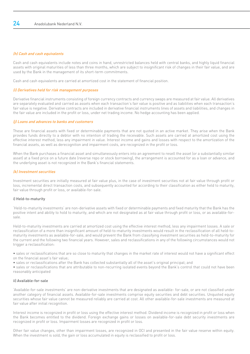# (h) Cash and cash equivalents

Cash and cash equivalents include notes and coins in hand, unrestricted balances held with central banks, and highly liquid financial assets with original maturities of less than three months, which are subject to insignificant risk of changes in their fair value, and are used by the Bank in the management of its short-term commitments.

Cash and cash equivalents are carried at amortized cost in the statement of financial position.

### (i) Derivatives held for risk management purposes

Derivative financial instruments consisting of foreign currency contracts and currency swaps are measured at fair value. All derivatives are separately evaluated and carried as assets when each transaction's fair value is positive and as liabilities when each transaction's fair value is negative. Derivative contracts are included in derivative financial instruments lines of assets and liabilities, and changes in the fair value are included in the profit or loss, under net trading income. No hedge accounting has been applied.

### (j) Loans and advances to banks and customers

These are financial assets with fixed or determinable payments that are not quoted in an active market. They arise when the Bank provides funds directly to a debtor with no intention of trading the receivable. Such assets are carried at amortized cost using the effective interest method, less any impairment in value. Interest income and gains and losses with respect to the amortization of the financial assets, as well as derecognition and impairment costs, are recognized in the profit or loss.

When the Bank purchases a financial asset and simultaneously enters into an agreement to resell the asset (or a substantially similar asset) at a fixed price on a future date (reverse repo or stock borrowing), the arrangement is accounted for as a loan or advance, and the underlying asset is not recognized in the Bank's financial statements.

### (k) Investment securities

Investment securities are initially measured at fair value plus, in the case of investment securities not at fair value through profit or loss, incremental direct transaction costs, and subsequently accounted for according to their classification as either held to maturity, fair value through profit or loss, or available-for-sale.

### i) Held-to-maturity

'Held-to-maturity investments' are non-derivative assets with fixed or determinable payments and fixed maturity that the Bank has the positive intent and ability to hold to maturity, and which are not designated as at fair value through profit or loss, or as available-forsale.

Held-to-maturity investments are carried at amortized cost using the effective interest method, less any impairment losses. A sale or reclassification of a more than insignificant amount of held-to-maturity investments would result in the reclassification of all held-tomaturity investments as available-for-sale, and would prevent the Bank from classifying investment securities as held-to-maturity for the current and the following two financial years. However, sales and reclassifications in any of the following circumstances would not trigger a reclassification:

• sales or reclassifications that are so close to maturity that changes in the market rate of interest would not have a significant effect on the financial asset's fair value;

• sales or reclassifications after the Bank has collected substantially all of the asset's original principal; and

• sales or reclassifications that are attributable to non-recurring isolated events beyond the Bank's control that could not have been reasonably anticipated

### ii) Available-for-sale

'Available-for-sale investments' are non-derivative investments that are designated as available- for-sale, or are not classified under another category of financial assets. Available-for-sale investments comprise equity securities and debt securities. Unquoted equity securities whose fair value cannot be measured reliably are carried at cost. All other available-for-sale investments are measured at fair value after initial recognition.

Interest income is recognized in profit or loss using the effective interest method. Dividend income is recognized in profit or loss when the Bank becomes entitled to the dividend. Foreign exchange gains or losses on available-for-sale debt security investments are recognized in profit or loss. Impairment losses are recognized in profit or loss.

Other fair value changes, other than impairment losses, are recognized in OCI and presented in the fair value reserve within equity. When the investment is sold, the gain or loss accumulated in equity is reclassified to profit or loss.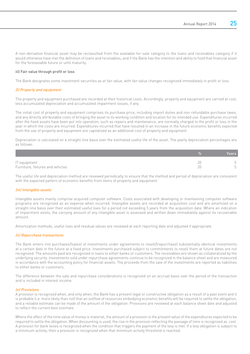A non-derivative financial asset may be reclassified from the available-for-sale category to the loans and receivables category if it would otherwise have met the definition of loans and receivables, and if the Bank has the intention and ability to hold that financial asset for the foreseeable future or until maturity.

### iii) Fair value through profit or loss

The Bank designates some investment securities as at fair value, with fair value changes recognized immediately in profit or loss.

## (l) Property and equipment

The property and equipment purchased are recorded at their historical costs. Accordingly, property and equipment are carried at cost, less accumulated depreciation and accumulated impairment losses, if any.

The initial cost of property and equipment comprises its purchase price, including import duties and non-refundable purchase taxes, and any directly attributable costs of bringing the asset to its working condition and location for its intended use. Expenditures incurred after the fixed assets have been put into operation, such as repairs and maintenance, are normally charged to the profit or loss in the year in which the costs are incurred. Expenditures incurred that have resulted in an increase in the future economic benefits expected from the use of property and equipment are capitalized as an additional cost of property and equipment.

Depreciation is calculated on a straight-line basis over the estimated useful life of the asset. The yearly depreciation percentages are as follows:

|                                                  |                           | Years |
|--------------------------------------------------|---------------------------|-------|
| IT equipment<br>Furniture, fixtures and vehicles | 20<br>20<br>$\sim$ $\sim$ |       |

The useful life and depreciation method are reviewed periodically to ensure that the method and period of depreciation are consistent with the expected pattern of economic benefits from items of property and equipment.

### (m) Intangible assets

Intangible assets mainly comprise acquired computer software. Costs associated with developing or maintaining computer software programs are recognized as an expense when incurred. Intangible assets are recorded at acquisition cost and are amortized on a straight-line basis over their estimated useful lives for a period not exceeding 5 years from the acquisition date. Where an indication of impairment exists, the carrying amount of any intangible asset is assessed and written down immediately against its recoverable amount.

Amortization methods, useful lives and residual values are reviewed at each reporting date and adjusted if appropriate.

### (n) Repurchase transactions

The Bank enters into purchases/(sales) of investments under agreements to resell/(repurchase) substantially identical investments at a certain date in the future at a fixed price. Investments purchased subject to commitments to resell them at future dates are not recognized. The amounts paid are recognized in loans to either banks or customers. The receivables are shown as collateralized by the underlying security. Investments sold under repurchase agreements continue to be recognized in the balance sheet and are measured in accordance with the accounting policy for financial assets. The proceeds from the sale of the investments are reported as liabilities to either banks or customers.

The difference between the sale and repurchase considerations is recognized on an accrual basis over the period of the transaction and is included in interest income.

### (o) Provisions

A provision is recognized when, and only when, the Bank has a present legal or constructive obligation as a result of a past event and it is probable (i.e. more likely than not) that an outflow of resources embodying economic benefits will be required to settle the obligation, and a reliable estimate can be made of the amount of the obligation. Provisions are reviewed at each balance sheet date and adjusted to reflect the current best estimate.

Where the effect of the time value of money is material, the amount of a provision is the present value of the expenditures expected to be required to settle the obligation. When discounting is used, the rise in the provision reflecting the passage of time is recognized as cost. A provision for bank levies is recognized when the condition that triggers the payment of the levy is met. If a levy obligation is subject to a minimum activity, then a provision is recognized when that minimum activity threshold is reached.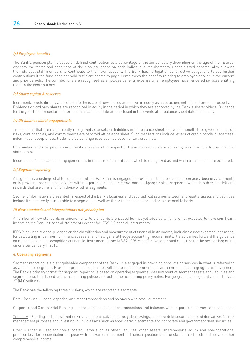# (p) Employee benefits

The Bank's pension plan is based on defined contribution as a percentage of the annual salary depending on the age of the insured, whereby the terms and conditions of the plan are based on each individual's requirements, under a fixed scheme, also allowing the individual staff members to contribute to their own account. The Bank has no legal or constructive obligations to pay further contributions if the fund does not hold sufficient assets to pay all employees the benefits relating to employee service in the current and prior periods. The contributions are recognized as employee benefits expense when employees have rendered services entitling them to the contributions.

# (q) Share capital & reserves

Incremental costs directly attributable to the issue of new shares are shown in equity as a deduction, net of tax, from the proceeds. Dividends on ordinary shares are recognized in equity in the period in which they are approved by the Bank's shareholders. Dividends for the year that are declared after the balance sheet date are disclosed in the events after balance sheet date note, if any.

# (r) Off balance sheet engagements

Transactions that are not currently recognized as assets or liabilities in the balance sheet, but which nonetheless give rise to credit risks, contingencies, and commitments are reported off balance sheet. Such transactions include letters of credit, bonds, guarantees, indemnities, acceptances, trade related contingencies such as documentary credit, etc.

Outstanding and unexpired commitments at year-end in respect of these transactions are shown by way of a note to the financial statements.

Income on off balance sheet engagements is in the form of commission, which is recognized as and when transactions are executed.

# (s) Segment reporting

A segment is a distinguishable component of the Bank that is engaged in providing related products or services (business segment), or in providing products or services within a particular economic environment (geographical segment), which is subject to risk and rewards that are different from those of other segments.

Segment information is presented in respect of the Bank's business and geographical segments. Segment results, assets and liabilities include items directly attributable to a segment, as well as those that can be allocated on a reasonable basis.

# (t) New standards and interpretations not yet adopted

A number of new standards or amendments to standards are issued but not yet adopted which are not expected to have significant impact on the Bank's financial statements except for IFRS 9 Financial Instruments.

IFRS 9 includes revised guidance on the classification and measurement of financial instruments, including a new expected loss model for calculating impairment on financial assets, and new general hedge accounting requirements. It also carries forward the guidance on recognition and derecognition of financial instruments from IAS 39. IFRS 9 is effective for annual reporting for the periods beginning on or after January 1, 2018.

# 4. Operating segments

Segment reporting is a distinguishable component of the Bank. It is engaged in providing products or services in what is referred to as a business segment. Providing products or services within a particular economic environment is called a geographical segment. The Bank's primary format for segment reporting is based on operating segments. Measurement of segment assets and liabilities and segment results is based on the accounting policies set out in the accounting policy notes. For geographical segments, refer to Note 27 (b) Credit risk.

The Bank has the following three divisions, which are reportable segments.

Retail Banking – Loans, deposits, and other transactions and balances with retail customers

Corporate and Commercial Banking – Loans, deposits, and other transactions and balances with corporate customers and bank loans

Treasury – Funding and centralized risk management activities through borrowings, issues of debt securities, use of derivatives for risk management purposes and investing in liquid assets such as short-term placements and corporate and government debt securities

Other – Other is used for non-allocated items such as other liabilities, other assets, shareholder's equity and non-operational profit or loss for reconciliation purpose with the Bank's statement of financial position and the statement of profit or loss and other comprehensive income.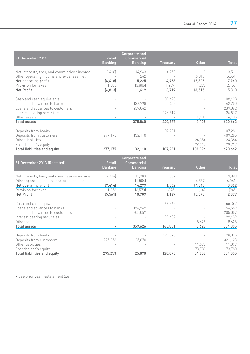|                                             |                                 | <b>Corporate and</b>                |                 |              |              |
|---------------------------------------------|---------------------------------|-------------------------------------|-----------------|--------------|--------------|
| 31 December 2014                            | <b>Retail</b><br><b>Banking</b> | <b>Commercial</b><br><b>Banking</b> | <b>Treasury</b> | <b>Other</b> | <b>Total</b> |
| Net interests, fees, and commissions income | (6, 418)                        | 14,963                              | 4,958           | 8            | 13,511       |
| Other operating income and expenses, net    |                                 | 262                                 |                 | (5, 813)     | (5, 551)     |
| Net operating profit                        | (6, 418)                        | 15,225                              | 4,958           | (5,805)      | 7,960        |
| Provision for taxes                         | 1,605                           | (3,806)                             | (1, 239)        | 1,290        | (2, 150)     |
| <b>Net Profit</b>                           | (4, 813)                        | 11,419                              | 3,719           | (4, 515)     | 5,810        |
|                                             |                                 |                                     |                 |              |              |
| Cash and cash equivalents                   |                                 |                                     | 108,428         |              | 108,428      |
| Loans and advances to banks                 |                                 | 136,798                             | 5,452           |              | 142,250      |
| Loans and advances to customers             |                                 | 239,062                             |                 |              | 239,062      |
| Interest bearing securities                 |                                 |                                     | 126,817         |              | 126,817      |
| Other assets                                |                                 |                                     |                 | 4,105        | 4,105        |
| Total assets                                |                                 | 375,860                             | 240,697         | 4,105        | 620,662      |
| Deposits from banks                         |                                 |                                     | 107,281         |              | 107,281      |
| Deposits from customers                     | 277.175                         | 132,110                             |                 |              | 409,285      |
| Other liabilities                           |                                 |                                     |                 | 24,384       | 24,384       |
| Shareholder's equity                        |                                 |                                     |                 | 79.712       | 79,712       |
| Total liabilities and equity                | 277,175                         | 132,110                             | 107,281         | 104,096      | 620,662      |

|                                             |                | Corporate and  |                 |              |              |
|---------------------------------------------|----------------|----------------|-----------------|--------------|--------------|
| 31 December 2013 (Restated)                 | <b>Retail</b>  | Commercial     |                 |              |              |
|                                             | <b>Banking</b> | <b>Banking</b> | <b>Treasury</b> | <b>Other</b> | <b>Total</b> |
| Net interests, fees, and commissions income | (7, 414)       | 15,783         | 1,502           | 12           | 9,883        |
| Other operating income and expenses, net    |                | (1,504)        |                 | (4, 557)     | (6,061)      |
| Net operating profit                        | (7, 414)       | 14,279         | 1,502           | (4, 545)     | 3,822        |
| Provision for taxes                         | 1.853          | (3,570)        | (375)           | 1,147        | (945)        |
| <b>Net Profit</b>                           | (5, 561)       | 10,709         | 1,127           | (3, 398)     | 2,877        |
| Cash and cash equivalents                   |                |                | 66,362          |              | 66,362       |
| Loans and advances to banks                 |                | 154,569        |                 |              | 154,569      |
| Loans and advances to customers             |                | 205,057        |                 |              | 205,057      |
| Interest bearing securities                 |                |                | 99,439          |              | 99,439       |
| Other assets                                |                |                |                 | 8,628        | 8,628        |
| Total assets                                |                | 359,626        | 165,801         | 8,628        | 534,055      |
| Deposits from banks                         |                |                | 128,075         |              | 128,075      |
| Deposits from customers                     | 295,253        | 25,870         |                 |              | 321,123      |
| Other liabilities                           |                |                |                 | 11,077       | 11,077       |
| Shareholder's equity                        |                |                |                 | 73.780       | 73,780       |
| <b>Total liabilities and equity</b>         | 295,253        | 25,870         | 128,075         | 84,857       | 534,055      |

• See prior year restatement 2.e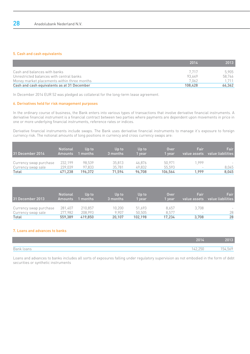# 5. Cash and cash equivalents

|                                             | 2014    | 2013    |
|---------------------------------------------|---------|---------|
| Cash and balances with banks                | 7717    | 5.905   |
| Unrestricted balances with central banks    | 93649   | 58.746  |
| Money market placements within three months | 7.062   | 1 7 1 1 |
| Cash and cash equivalents as at 31 December | 108.428 | 66,362  |

In December 2014 EUR 52 was pledged as collateral for the long-term lease agreement.

# 6. Derivatives held for risk management purposes

In the ordinary course of business, the Bank enters into various types of transactions that involve derivative financial instruments. A derivative financial instrument is a financial contract between two parties where payments are dependent upon movements in price in one or more underlying financial instruments, reference rates or indices.

Derivative financial instruments include swaps. The Bank uses derivative financial instruments to manage it's exposure to foreign currency risk. The notional amounts of long positions in currency and cross currency swaps are:

| 31 December 2014       | <b>Notional</b> | Jo to    | Up to    | Up to  | <b>Over</b> | Fair                     | Fair                     |
|------------------------|-----------------|----------|----------|--------|-------------|--------------------------|--------------------------|
|                        | <b>Amounts</b>  | l months | 3 months | vear   | 1 vear      | value assets             | l value liabilities '    |
| Currency swap purchase | 232.199         | 98.539   | 35.813   | 46.876 | 50.971      | .999                     | $\overline{\phantom{a}}$ |
| Currency swap sale     | 239.039         | 97.833   | 35.781   | 49.832 | 55.593      | $\overline{\phantom{a}}$ | 8,045                    |
| Total                  | 471.238         | 196.372  | 71.594   | 96.708 | 106.564     | 1.999                    | 8,045                    |

| 31 December 2013       | 'Notional      | Up to   | Up to    | Up to   | Over   | Fair                     | Fair:             |
|------------------------|----------------|---------|----------|---------|--------|--------------------------|-------------------|
|                        | <b>Amounts</b> | months  | 3 months | vear    | 1 vear | value assets             | value liabilities |
| Currency swap purchase | 281.407        | 210.857 | 10.200   | 51.693  | 8.657  | 3.708                    | -                 |
| Currency swap sale     | 277.982        | 208.993 | 9.907    | 50.505  | 8.577  | $\overline{\phantom{a}}$ | 28                |
| Total                  | 559.389        | 419.850 | 20.107   | 102.198 | 17.234 | 3.708                    | 28                |

# 7. Loans and advances to banks

|                 | 2014   | 2013        |
|-----------------|--------|-------------|
| Bank u<br>loans | 42,250 | ,569<br>h/2 |

Loans and advances to banks includes all sorts of exposures falling under regulatory supervision as not embodied in the form of debt securities or synthetic instruments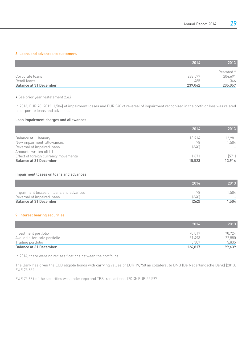# 8. Loans and advances to customers

|                        | 2014    | 2013       |
|------------------------|---------|------------|
|                        |         | Restated * |
| Corporate loans        | 238,577 | 204,691    |
| Retail loans           | 485     | 366        |
| Balance at 31 December | 239.062 | 205,057    |

• See prior year restatement 2.e.i

In 2014, EUR 78 (2013: 1,504) of impairment losses and EUR 340 of reversal of impairment recognized in the profit or loss was related to corporate loans and advances.

# Loan impairment charges and allowances

|                                      | 2014                     | 2013   |
|--------------------------------------|--------------------------|--------|
| Balance at 1 January                 | 13,914                   | 12,981 |
| New impairment allowances            | 78                       | 1,504  |
| Reversal of impaired loans           | (340)                    |        |
| Amounts written off [-]              | $\overline{\phantom{a}}$ |        |
| Effect of foreign currency movements | 1.871                    | (571)  |
| Balance at 31 December               | 15,523                   | 13,914 |

#### Impairment losses on loans and advances

|                                                                       | 2014        | 2013 |
|-----------------------------------------------------------------------|-------------|------|
| Impairment losses on loans and advances<br>Reversal of impaired loans | 78<br>(340) | .504 |
| Balance at 31 December                                                | [262]       | .504 |

# 9. Interest bearing securities

|                              | 2014    | 2013   |
|------------------------------|---------|--------|
| Investment portfolio         | 70.017  | 70,724 |
| Available-for-sale portfolio | 51.493  | 22,880 |
| Trading portfolio            | 5.307   | 5,835  |
| Balance at 31 December       | 126.817 | 99,439 |

In 2014, there were no reclassifications between the portfolios.

The Bank has given the ECB eligible bonds with carrying values of EUR 19,758 as collateral to DNB (De Nederlandsche Bank) (2013: EUR 25,632).

EUR 73,689 of the securities was under repo and TRS transactions. (2013: EUR 55,597)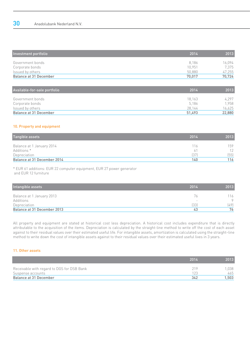| Investment portfolio   | 2014   | 2013   |
|------------------------|--------|--------|
| Government bonds       | 8.186  | 16.094 |
| Corporate bonds        | 10.951 | 7.375  |
| Issued by others       | 50.880 | 47,255 |
| Balance at 31 December | 70.017 | 70,724 |

| Available-for-sale portfolio | 2014   | 2013   |
|------------------------------|--------|--------|
| Government bonds             | 18,163 | 4.297  |
| Corporate bonds              | 5.186  | 1.958  |
| Issued by others             | 28.144 | 16,625 |
| Balance at 31 December       | 51,493 | 22,880 |

# 10. Property and equipment

| Tangible assets             | 2014 | 2013 |
|-----------------------------|------|------|
| Balance at 1 January 2014   | 16   | 159  |
| Additions *                 | 61   | 12   |
| Depreciation                | (37) | (55) |
| Balance at 31 December 2014 | 140  | 116  |

\* EUR 61 additions: EUR 22 computer equipment, EUR 27 power generator and EUR 12 furniture

| Intangible assets           | 2014 | 2013    |
|-----------------------------|------|---------|
| Balance at 1 January 2013   | 76   | 16      |
| Additions                   |      | $\circ$ |
| Depreciation                | (33) | [49]    |
| Balance at 31 December 2013 | 43   | 76      |

All property and equipment are stated at historical cost less depreciation. A historical cost includes expenditure that is directly attributable to the acquisition of the items. Depreciation is calculated by the straight-line method to write off the cost of each asset against to their residual values over their estimated useful life. For intangible assets, amortization is calculated using the straight–line method to write down the cost of intangible assets against to their residual values over their estimated useful lives in 3 years.

# 11. Other assets

|                                            | 2014 | 2013  |
|--------------------------------------------|------|-------|
| Receivable with regard to DGS for DSB Bank | 71 Q | .038  |
| Suspense accounts                          |      | 465   |
| Balance at 31 December                     | 342  | 1.503 |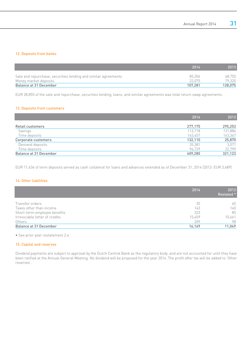# 12. Deposits from banks

|                                                                | 2014    | 2013    |
|----------------------------------------------------------------|---------|---------|
| Sale and repurchase, securities lending and similar agreements | 85.206  | 48,755  |
| Money market deposits                                          | 22 075  | 79.320  |
| Balance at 31 December                                         | 107.281 | 128,075 |

EUR 28,855 of the sale and repurchase, securities lending, loans, and similar agreements was total return swap agreements.

# 13. Deposits from customers

|                        | 2014    | 2013    |
|------------------------|---------|---------|
| Retail customers       | 277,175 | 295,253 |
| Savings                | 113,718 | 131,886 |
| Time deposits          | 163,457 | 163,367 |
| Corporate customers    | 132,110 | 25,870  |
| Demand deposits        | 35,381  | 3,071   |
| Time deposits          | 96.729  | 22,799  |
| Balance at 31 December | 409.285 | 321,123 |

EUR 11,636 of term deposits served as cash collateral for loans and advances extended as of December 31, 2014 (2013: EUR 3,489).

# 14. Other liabilities

|                               | 2014   | 2013<br>Restated * |
|-------------------------------|--------|--------------------|
| Transfer orders               | 35     | 65                 |
| Taxes other than income       | 143    | 140                |
| Short-term employee benefits  | 323    | 85                 |
| Irrevocable letter of credits | 15,459 | 10,661             |
| Others                        | 209    | 98                 |
| <b>Balance at 31 December</b> | 16,169 | 11,049             |

• See prior year restatement 2.e

# 15. Capital and reserves

Dividend payments are subject to approval by the Dutch Central Bank as the regulatory body, and are not accounted for until they have been ratified at the Annual General Meeting. No dividend will be proposed for the year 2014. The profit after tax will be added to 'Other reserves'.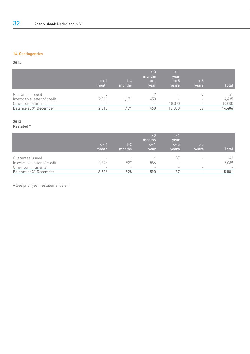# 16. Contingencies

2014

|                               | $\leq$ = 1<br>month      | $1 - 3$<br>months | >3<br>months<br>$\leq$ 1<br>year | >1<br>year<br>$\leq$ 5<br>years | > 5<br>years             | <b>Total</b> |
|-------------------------------|--------------------------|-------------------|----------------------------------|---------------------------------|--------------------------|--------------|
| Guarantee issued              |                          |                   |                                  | $\overline{\phantom{a}}$        | 37                       | 51           |
| Irrevocable letter of credit  | 2.811                    | .171              | 453                              | $\overline{\phantom{a}}$        | $\overline{\phantom{a}}$ | 4,435        |
| Other commitments             | $\overline{\phantom{a}}$ |                   | $\overline{\phantom{a}}$         | 10,000                          | $\overline{\phantom{a}}$ | 10,000       |
| <b>Balance at 31 December</b> | 2.818                    | .171              | 460                              | 10,000                          | 37                       | 14,486       |

# 2013

Restated \*

|                                                                       | $\leq$ = 1<br>month                                           | $1 - 3$<br>months | > 3<br>months<br>$\leq$ = 1<br>year  | >1<br>year<br>$\leq$ 5<br>years                            | > 5<br>years                  | <b>Total</b> |
|-----------------------------------------------------------------------|---------------------------------------------------------------|-------------------|--------------------------------------|------------------------------------------------------------|-------------------------------|--------------|
| Guarantee issued<br>Irrevocable letter of credit<br>Other commitments | $\overline{\phantom{a}}$<br>3,526<br>$\overline{\phantom{a}}$ | 927<br>-          | 4<br>586<br>$\overline{\phantom{a}}$ | 37<br>$\overline{\phantom{a}}$<br>$\overline{\phantom{a}}$ | ۰<br>$\overline{\phantom{a}}$ | 42<br>5,039  |
| Balance at 31 December                                                | 3,526                                                         | 928               | 590                                  | 37                                                         |                               | 5,081        |

• See prior year restatement 2.e.i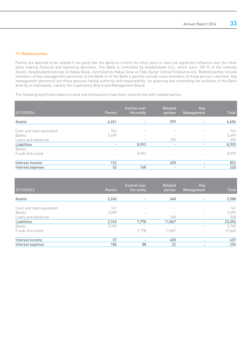# 17. Related parties

Parties are deemed to be related if one party has the ability to control the other party or exercise significant influence over the other party making financial and operating decisions. The Bank is controlled by Anadolubank A.Ş., which owns 100 % of the ordinary shares. Anadolubank belongs to Habaş Bank, controlled by Habaş Sınai ve Tıbbi Gazlar İstihsal Endüstrisi A.Ş. Related parties include members of key management personnel of the Bank or of the Bank's parents include close members of those person's families. Key management personnel are those persons having authority and responsibility for planning and controlling the activities of the Bank directly or individually, namely the Supervisory Board and Management Board.

The following significant balances exist and transactions have been entered into with related parties:

| 31/12/2014               | Parent                   | Control over<br>the entity | Related<br>parties       | Key<br><b>Management</b> | <b>Total</b>             |
|--------------------------|--------------------------|----------------------------|--------------------------|--------------------------|--------------------------|
| Assets                   | 6,261                    |                            | 395                      |                          | 6,656                    |
| Cash and cash equivalent | 762                      | $\overline{\phantom{a}}$   | $\overline{\phantom{a}}$ | $\overline{\phantom{a}}$ | 762                      |
| Banks                    | 5,499                    | $\sim$                     | $\overline{\phantom{a}}$ |                          | 5,499                    |
| Loans and advances       | $\overline{\phantom{a}}$ | ۰                          | 395                      | $\overline{\phantom{a}}$ | 395                      |
| Liabilities              | -                        | 8,993                      | -                        | ٠.                       | 8,993                    |
| Banks                    | $\overline{\phantom{a}}$ | $\overline{\phantom{a}}$   | $\overline{\phantom{a}}$ | $\overline{\phantom{a}}$ | $\overline{\phantom{a}}$ |
| Funds Entrusted          | $\overline{\phantom{a}}$ | 8.993                      | $\overline{\phantom{a}}$ | $\overline{\phantom{a}}$ | 8,993                    |
| Interest income          | 132                      |                            | 690                      | $\overline{\phantom{a}}$ | 822                      |
| Interest expense         | 52                       | 168                        | -                        | $\overline{\phantom{a}}$ | 220                      |

| 31/12/2013               | Parent                   | Control over<br>the entity | Related<br>parties       | Key<br>Management        | <b>Total</b> |
|--------------------------|--------------------------|----------------------------|--------------------------|--------------------------|--------------|
| Assets                   | 3.240                    |                            | 348                      |                          | 3,588        |
| Cash and cash equivalent | 141                      | $\overline{\phantom{a}}$   | $\overline{\phantom{a}}$ | $\overline{\phantom{0}}$ | 141          |
| Banks                    | 3,099                    | $\qquad \qquad$            |                          | $\overline{\phantom{a}}$ | 3.099        |
| Loans and advances       | $\overline{\phantom{a}}$ |                            | 348                      | $\overline{\phantom{0}}$ | 348          |
| Liabilities              | 3,749                    | 7,778                      | 11,867                   | -                        | 23,394       |
| Banks                    | 3,749                    |                            |                          | $\overline{\phantom{0}}$ | 3,749        |
| <b>Funds Entrusted</b>   | ٠                        | 7,778                      | 11,867                   | $\overline{\phantom{0}}$ | 19,645       |
| Interest income          | 57                       |                            | 400                      | ٠.                       | 457          |
| Interest expense         | 186                      | 88                         | 22                       | ٠.                       | 296          |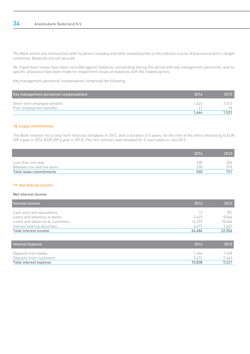The Bank enters into transactions with its parent company and other related parties in the ordinary course of business at arm's-length conditions. Balances are not secured.

No impairment losses have been recorded against balances outstanding during the period with key management personnel, and no specific allowance have been made for impairment losses on balances with the related parties.

Key management personnel compensation comprised the following.

| Key management personnel compensations                   | -2014 | 2013       |
|----------------------------------------------------------|-------|------------|
| Short-term employee benefits<br>Post-employment benefits | 1 623 | .513<br>18 |
|                                                          | 1.664 | 1.531      |

### 18. Lease commitments

The Bank entered into a long-term financial obligation in 2012, with a duration of 5 years, for the rent of the office amounting to EUR 209 a year in 2014 (EUR 209 a year in 2013). The rent contract was renewed for 5 more years in July 2012.

|                            | 2014 | 2013 |
|----------------------------|------|------|
| Less than one year         | 22N  | 206  |
| Between one and five years | 330  | 515  |
| Total lease commitments    | 550  | 721  |

### 19. Net interest income

### Net interest income

| Interest income                 | 2014   | 2013   |
|---------------------------------|--------|--------|
| Cash and cash equivalents       | 13     | 181    |
| Loans and advances to banks     | 5.423  | 8.064  |
| Loans and advances to customers | 14.373 | 10,644 |
| Interest bearing securities     | 4.677  | 3,667  |
| Total interest income           | 24.486 | 22,556 |

| Interest Expense        | 2014   | 2013  |
|-------------------------|--------|-------|
| Deposits from banks     | 1.366  | .578  |
| Deposits from customers | 9472   | 7.643 |
| Total interest expense  | 10.838 | 9.221 |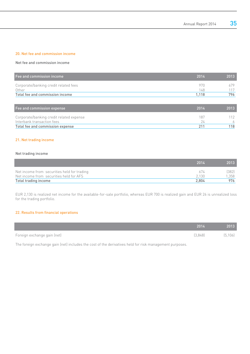# 20. Net fee and commission income

# Net fee and commission income

| <b>Fee and commission income</b>               | 2014       | 2013       |
|------------------------------------------------|------------|------------|
| Corporate/banking credit related fees<br>Other | 97N<br>148 | 679<br>117 |
| Total fee and commission income                | 1.118      | 796        |

| Fee and commission expense                                             | 2014      | 2013 |
|------------------------------------------------------------------------|-----------|------|
| Corporate/banking credit related expense<br>Interbank transaction fees | 187<br>74 |      |
| Total fee and commission expense                                       |           | 118  |

# 21. Net trading income

# Net trading income

|                                             | 2014  | 2013  |
|---------------------------------------------|-------|-------|
| Net income from securities held for trading | 674   | (382) |
| Net income from securities held for AFS     | 2.130 | .358  |
| Total trading income                        | 2.804 | 976   |

EUR 2,130 is realized net income for the available-for-sale portfolio, whereas EUR 700 is realized gain and EUR 26 is unrealized loss for the trading portfolio.

# 22. Results from financial operations

|                             | 2014    | 2013     |
|-----------------------------|---------|----------|
| Foreign exchange gain (net) | (3.848) | (5, 106) |

The foreign exchange gain (net) includes the cost of the derivatives held for risk management purposes.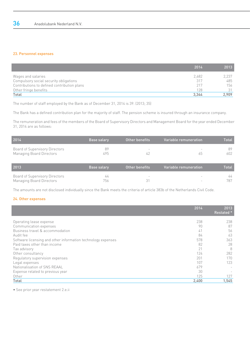# 23. Personnel expenses

|                                             | 2014  | 2013  |
|---------------------------------------------|-------|-------|
| Wages and salaries                          | 2.682 | 2,237 |
| Compulsory social security obligations      | 317   | 485   |
| Contributions to defined contribution plans | 217   | 156   |
| Other fringe benefits                       | 128   | 31    |
| Total                                       | 3,344 | 2.909 |

The number of staff employed by the Bank as of December 31, 2014 is 39. (2013; 35)

The Bank has a defined contribution plan for the majority of staff. The pension scheme is insured through an insurance company.

The remuneration and fees of the members of the Board of Supervisory Directors and Management Board for the year ended December 31, 2014 are as follows:

| 2014                                                              | <b>Base salary</b> | Other benefits | l Variable remuneration i | <b>Total</b> |
|-------------------------------------------------------------------|--------------------|----------------|---------------------------|--------------|
| Board of Supervisory Directors<br><b>Managing Board Directors</b> | 89<br>495          | -              | 65.                       | 89<br>602    |

| 2013                                                       | <b>Base salary</b> | l Other benefits '       | Variable remuneration | <b>Notal</b> |
|------------------------------------------------------------|--------------------|--------------------------|-----------------------|--------------|
| Board of Supervisory Directors<br>Managing Board Directors | 44<br>756          | $\overline{\phantom{a}}$ |                       | 44<br>787    |

The amounts are not disclosed individually since the Bank meets the criteria of article 383b of the Netherlands Civil Code.

# 24. Other expenses

|                                                              | 2014  | 2013<br>Restated * |
|--------------------------------------------------------------|-------|--------------------|
| Operating lease expense                                      | 238   | 238                |
| Communication expenses                                       | 90    | 87                 |
| Business travel & accommodation                              | 41    | 56                 |
| Audit fee                                                    | 84    | 63                 |
| Software licensing and other information technology expenses | 578   | 363                |
| Paid taxes other than income                                 | 82    | 28                 |
| Tax advisory                                                 | 21    | -8                 |
| Other consultancy                                            | 124   | 282                |
| Regulatory supervision expenses                              | 201   | 170                |
| Legal expenses                                               | 107   | 123                |
| Nationalisation of SNS REAAL                                 | 679   |                    |
| Expense related to previous year                             | 30    |                    |
| Other                                                        | 125   | 127                |
| Total                                                        | 2,400 | 1,545              |

• See prior year restatement 2.e.ii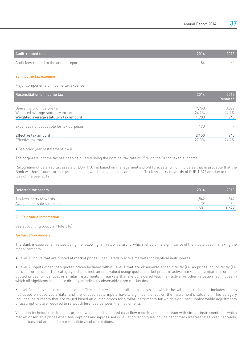| Audit-related fees                      | 2014 | 2013 |
|-----------------------------------------|------|------|
| Audit fees related to the annual report | 84   |      |

# 25. Income tax expense

Major components of income tax expense:

| Reconciliation of income tax             | 2014  | 2013<br><b>Restated</b> |
|------------------------------------------|-------|-------------------------|
|                                          |       |                         |
| Operating profit before tax              | 7.960 | 3,822                   |
| Weighted average statutory tax rate      | 24.9% | 24.7%                   |
| Weighted average statutory tax amount    | 1,980 | 945                     |
| Expenses not deductible for tax purposes | 170   |                         |
| Effective tax amount                     | 2.150 | 945                     |
| Effective tax rate                       | 27.0% | 24.7%                   |

• See prior year restatement 2.e.ii

The corporate income tax has been calculated using the nominal tax rate of 25 % on the Dutch taxable income.

Recognition of deferred tax assets of EUR 1,581 is based on management's profit forecasts, which indicates that is probable that the Bank will have future taxable profits against which these assets can be used. Tax loss-carry forwards of EUR 1,542 are due to the net loss of the year 2012.

| Deferred tax assets                                      | 2014        | 2013         |
|----------------------------------------------------------|-------------|--------------|
| Tax loss-carry forwards<br>Available for sale securities | 1.542<br>39 | 1.542.<br>80 |
|                                                          | 1.581       | .622         |

### 26. Fair value information

See accounting policy in Note 3 (g).

### (a) Valuation models

The Bank measures fair values using the following fair value hierarchy, which reflects the significance of the inputs used in making the measurements.

• Level 1: Inputs that are quoted at market prices (unadjusted) in active markets for identical instruments.

• Level 2: Inputs other than quoted prices included within Level 1 that are observable either directly (i.e. as prices) or indirectly (i.e. derived from prices). This category includes instruments valued using: quoted market prices in active markets for similar instruments; quoted prices for identical or similar instruments in markets that are considered less than active; or other valuation techniques in which all significant inputs are directly or indirectly observable from market data.

• Level 3: Inputs that are unobservable. This category includes all instruments for which the valuation technique includes inputs not based on observable data, and the unobservable inputs have a significant effect on the instrument's valuation. This category includes instruments that are valued based on quoted prices for similar instruments for which significant unobservable adjustments or assumptions are required to reflect differences between the instruments

Valuation techniques include net present value and discounted cash flow models and comparison with similar instruments for which market observable prices exist. Assumptions and inputs used in valuation techniques include benchmark interest rates, credit spreads, bond prices and expected price volatilities and correlations.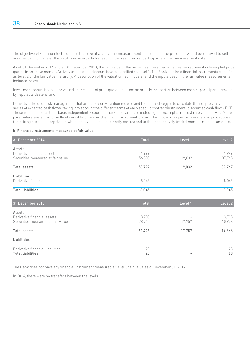The objective of valuation techniques is to arrive at a fair value measurement that reflects the price that would be received to sell the asset or paid to transfer the liability in an orderly transaction between market participants at the measurement date.

As at 31 December 2014 and at 31 December 2013, the fair value of the securities measured at fair value represents closing bid price quoted in an active market. Actively traded quoted securities are classified as Level 1. The Bank also held financial instruments classified as level 2 of the fair value hierarchy. A description of the valuation technique(s) and the inputs used in the fair value measurements in included below.

Investment securities that are valued on the basis of price quotations from an orderly transaction between market participants provided by reputable dealers; and

Derivatives held for risk management that are based on valuation models and the methodology is to calculate the net present value of a series of expected cash flows, taking into account the different terms of each specific contract/instrument (discounted cash flow – DCF). These models use as their basis independently sourced market parameters including, for example, interest rate yield curves. Market parameters are either directly observable or are implied from instrument prices. The model may perform numerical procedures in the pricing such as interpolation when input values do not directly correspond to the most actively traded market trade parameters.

## b) Financial instruments measured at fair value

| 31 December 2014                  | Total  | Level 1                           | Level 2 |
|-----------------------------------|--------|-----------------------------------|---------|
| Assets                            |        |                                   |         |
| Derivative financial assets       | 1,999  |                                   | 1,999   |
| Securities measured at fair value | 56,800 | 19,032                            | 37,768  |
| <b>Total assets</b>               | 58,799 | 19,032                            | 39,767  |
| Liabilities                       |        |                                   |         |
| Derivative financial liabilities  | 8,045  | $\hspace{1.0cm} - \hspace{1.0cm}$ | 8,045   |
| <b>Total liabilities</b>          | 8,045  | $\overline{\phantom{a}}$          | 8,045   |
|                                   |        |                                   |         |
| 31 December 2013                  | Total  | Level 1                           | Level 2 |
| Assets                            |        |                                   |         |
| Derivative financial assets       | 3,708  |                                   | 3,708   |
| Securities measured at fair value | 28,715 | 17,757                            | 10,958  |
| <b>Total assets</b>               | 32,423 | 17,757                            | 14,666  |
| Liabilities                       |        |                                   |         |
| Derivative financial liabilities  | 28     |                                   | 28      |
| <b>Total liabilities</b>          | 28     | $\overline{\phantom{a}}$          | 28      |

The Bank does not have any financial instrument measured at level 3 fair value as of December 31, 2014.

In 2014, there were no transfers between the levels.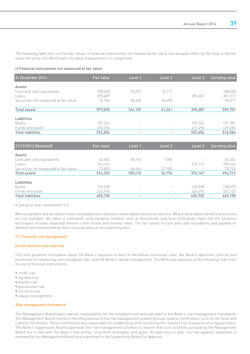The following table sets out the fair values of financial instruments not measured fair value and analyses them by the level in the fair value hierarchy into which each fair value measurement is categorized.

### c) Financial instruments not measured at fair value

| 31 December 2014                      | Fair value | Level 1                  | Level 2                  | Level 3 | Carrying value |
|---------------------------------------|------------|--------------------------|--------------------------|---------|----------------|
| Assets                                |            |                          |                          |         |                |
| Cash and cash equivalents             | 108,428    | 93,657                   | 14,771                   |         | 108,428        |
| Loans                                 | 395.687    | $\overline{\phantom{a}}$ |                          | 395.687 | 381,312        |
| Securities not measured at fair value | 74.940     | 48,450                   | 26,490                   |         | 70,017         |
| <b>Total assets</b>                   | 579.055    | 142.107                  | 41,261                   | 395,687 | 559,757        |
| Liabilities                           |            |                          |                          |         |                |
| Banks                                 | 107,362    | ۰                        | $\overline{\phantom{a}}$ | 107,362 | 107,281        |
| Funds entrusted                       | 415,294    | $\overline{\phantom{a}}$ | $\overline{\phantom{a}}$ | 415,294 | 409,285        |
| <b>Total liabilities</b>              | 522,656    | $\overline{\phantom{a}}$ | $\overline{\phantom{a}}$ | 522,656 | 516,566        |

| 31/12/2013 (Restated)                 | Fair value | Level 1                  | Level 2                  | Level 3                  | Carrying value |
|---------------------------------------|------------|--------------------------|--------------------------|--------------------------|----------------|
| Assets                                |            |                          |                          |                          |                |
| Cash and cash equivalents             | 66,362     | 58.766                   | 7,596                    |                          | 66,362         |
| L <sub>oans</sub>                     | 374,147    | -                        |                          | 374.147                  | 359,626        |
| Securities not measured at fair value | 73,824     | 46.644                   | 27,180                   | $\overline{\phantom{a}}$ | 70,724         |
| Total assets                          | 514,333    | 105,410                  | 34,776                   | 374,147                  | 496,712        |
| Liabilities                           |            |                          |                          |                          |                |
| Banks                                 | 129,038    | $\equiv$                 | $\overline{\phantom{a}}$ | 129,038                  | 128,075        |
| Funds entrusted                       | 326,692    | $\overline{\phantom{a}}$ | $\overline{\phantom{a}}$ | 326,692                  | 321,123        |
| <b>Total liabilities</b>              | 455,730    | $\overline{\phantom{a}}$ |                          | 455,730                  | 449,198        |

• See prior year restatement 2.e.

Where available, the fair value of loans and advances is based on observable market transactions. Where observable market transactions are not available, fair value is estimated using valuation models, such as discounted cash flow techniques. Input into the valuation techniques includes expected lifetime credit losses and interest rates. The fair values of cash and cash equivalents and payable on demand are represented by their carrying value as the reporting date.

### 27. Financial risk management

### (a) Introduction and overview

This note presents information about the Bank's exposure to each of the below-mentioned risks, the Bank's objectives, policies and processes for measuring and managing risks, and the Bank's capital management. The Bank has exposure to the following risks from its use of financial instruments:

- credit risk
- liquidity risk
- market risk
- operational risk
- currency risk
- capital management

## Risk management framework

The Management Board bears overall responsibility for the establishment and oversight of the Bank's risk management framework. The Management Board monitors the effectiveness of the risk management system through several committees, such as the Asset and Liability Committee. These committees are responsible for establishing and monitoring the relevant risk measures on a regular basis. The Bank's Supervisory Board supervises the risk management activities to ensure that such activities pursued by the Management Board are in line with the Bank's risk profile, long-term strategies, and goals. At least once a year, the risk appetite statement is reviewed by the Management Board and submitted to the Supervisory Board for approval.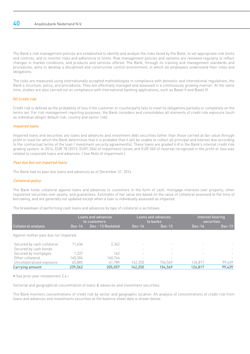The Bank's risk management policies are established to identify and analyze the risks faced by the Bank, to set appropriate risk limits and controls, and to monitor risks and adherence to limits. Risk management policies and systems are reviewed regularly to reflect changes in market conditions, and products and services offered. The Bank, through its training and management standards and procedures, aims to develop a disciplined and constructive control environment, in which all employees understand their roles and obligations.

The risks are measured using internationally accepted methodologies in compliance with domestic and international regulations, the Bank's structure, policy, and procedures. They are effectively managed and assessed in a continuously growing manner. At the same time, studies are also carried out on compliance with international banking applications, such as Basel II and Basel III.

# (b) Credit risk

Credit risk is defined as the probability of loss if the customer or counterparty fails to meet its obligations partially or completely on the terms set. For risk management reporting purposes, the Bank considers and consolidates all elements of credit risk exposure (such as individual obligor default risk, country and sector risk).

# Impaired loans

Impaired loans and securities are loans and advances and investment debt securities (other than those carried at fair value through profit or loss) for which the Bank determines that it is probable that it will be unable to collect all principal and interest due according to the contractual terms of the loan / investment security agreement(s). These loans are graded 6-8 in the Bank's internal credit risk grading system. In 2014, EUR 78 (2013: EUR1,504) of impairment losses and EUR 340 of reversal recognized in the profit or loss was related to corporate loans and advances. ( See Note of impairment.)

# Past due but not impaired loans

The Bank had no past due loans and advances as of December 31, 2014.

# Collateral policy

The Bank holds collateral against loans and advances to customers in the form of cash, mortgage interests over property, other registered securities over assets, and guarantees. Estimates of fair value are based on the value of collateral assessed at the time of borrowing, and are generally not updated except when a loan is individually assessed as impaired.

The breakdown of performing cash loans and advances by type of collateral is as follows:

|                                        |          | <b>Loans and advances</b><br>to customers |                          | <b>Loans and advances</b><br>to banks |                          | Interest bearing<br>securities |  |
|----------------------------------------|----------|-------------------------------------------|--------------------------|---------------------------------------|--------------------------|--------------------------------|--|
| <b>Collateral analysis</b>             | $Dec-14$ | Dec - 13 Restated                         | $Dec-14$                 | $Dec-13$                              | $Dec-14$                 | $Dec-13$                       |  |
| Against neither past due nor impaired: |          |                                           |                          |                                       |                          |                                |  |
| Secured by cash collateral             | 11,636   | 2.362                                     | $\overline{\phantom{a}}$ | $\overline{\phantom{a}}$              | $\overline{\phantom{a}}$ |                                |  |
| Secured by cash bonds                  | $\sim$   |                                           |                          | ٠                                     | $\overline{\phantom{a}}$ |                                |  |
| Secured by mortgages                   | 1.237    | 162                                       |                          | $\overline{\phantom{a}}$              |                          |                                |  |
| Other collateral                       | 160.304  | 140.744                                   |                          |                                       |                          |                                |  |
| Uncollateralized exposure              | 65,885   | 61,789                                    | 142.250                  | 154,569                               | 126.817                  | 99.439                         |  |
| Carrying amount                        | 239,062  | 205.057                                   | 142,250                  | 154,569                               | 126,817                  | 99,439                         |  |

• See prior year restatement 2.e.i

Sectorial and geographical concentration of loans & advances and investment securities

The Bank monitors concentrations of credit risk by sector and geographic location. An analysis of concentrations of credit risk from loans and advances and investments securities at the balance sheet date is shown below: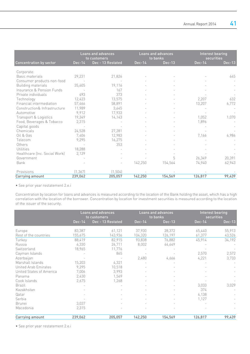|                               |          | Loans and advances<br>to customers |          | <b>Loans and advances</b><br>to banks | Interest bearing<br>securities |        |
|-------------------------------|----------|------------------------------------|----------|---------------------------------------|--------------------------------|--------|
| Concentration by sector       | $Dec-14$ | Dec - 13 Restated                  | $Dec-14$ | Dec-13                                | $Dec-14$                       | Dec-13 |
| Corporate:                    |          |                                    |          |                                       |                                |        |
| Basic materials               | 29,231   | 21,826                             |          |                                       |                                | 645    |
| Consumer products non-food    |          |                                    |          |                                       |                                |        |
| <b>Building materials</b>     | 35,605   | 19,116                             |          |                                       |                                |        |
| Insurance & Pension Funds     |          | 167                                |          |                                       |                                |        |
| Private individuals           | 493      | 373                                |          |                                       |                                |        |
| Technology                    | 12,423   | 13,575                             |          |                                       | 2,207                          | 632    |
| Financial intermediation      | 57,466   | 58,891                             |          |                                       | 13,207                         | 6,772  |
| Construction& Infrastructure  | 11,989   | 3,645                              |          |                                       |                                |        |
| Automotive                    | 9,912    | 17,933                             |          |                                       |                                |        |
| Transport & Logistics         | 19,349   | 14,143                             |          |                                       | 1,052                          | 1,070  |
| Food, Beverages & Tobacco     | 2,315    |                                    |          |                                       | 1,896                          |        |
| Capital goods                 |          |                                    |          |                                       |                                |        |
| Chemicals                     | 24,528   | 27,281                             |          |                                       |                                |        |
| Oil & Gas                     | 7,406    | 12,983                             |          |                                       | 7,166                          | 6,986  |
| Telecom                       | 9,295    | 16,275                             |          |                                       |                                |        |
| Others                        |          | 353                                |          |                                       |                                |        |
| Utilities                     | 18,288   |                                    |          |                                       |                                |        |
| Healthcare (Inc. Social Work) | 2,129    |                                    |          |                                       |                                |        |
| Government                    |          |                                    |          | 5                                     | 26,349                         | 20,391 |
| Bank                          |          |                                    |          |                                       |                                |        |
|                               |          |                                    | 142,250  | 154,564                               | 74,940                         | 62,943 |
| Provisions                    | (1, 367) | (1, 504)                           |          |                                       |                                |        |
| Carrying amount               | 239,062  | 205,057                            | 142,250  | 154,569                               | 126,817                        | 99,439 |

• See prior year restatement 2.e.i

Concentration by location for loans and advances is measured according to the location of the Bank holding the asset, which has a high correlation with the location of the borrower. Concentration by location for investment securities is measured according to the location of the issuer of the security.

|                          |          | Loans and advances<br>to customers | Loans and advances<br>to banks |         | Interest bearing<br>securities |          |
|--------------------------|----------|------------------------------------|--------------------------------|---------|--------------------------------|----------|
|                          | $Dec-14$ | Dec - 13 Restated                  | $Dec-14$                       | Dec-13  | $Dec-14$                       | $Dec-13$ |
| Europe                   | 83,387   | 61,121                             | 37,930                         | 28,372  | 65,440                         | 55,913   |
| Rest of the countries    | 155,675  | 143,936                            | 104,320                        | 126,197 | 61,377                         | 43,526   |
| Turkey                   | 88,419   | 82,915                             | 93,838                         | 76,882  | 45,914                         | 34,192   |
| Russia                   | 6,330    | 26,711                             | 8,002                          | 44,649  |                                |          |
| Switzerland              | 18,965   | 11,776                             |                                |         |                                |          |
| Cayman Islands           |          | 865                                |                                |         | 2,570                          | 2,572    |
| Azerbaijan               |          |                                    | 2,480                          | 4,666   | 4,221                          | 3,733    |
| Marshall Islands         | 15,203   | 4,321                              |                                |         |                                |          |
| United Arab Emirates     | 9,295    | 10,518                             | ÷                              |         |                                |          |
| United States of America | 7,006    | 3,993                              |                                |         |                                |          |
| Panama                   | 2,430    | 1,569                              |                                |         |                                |          |
| Cook Islands             | 2.675    | 1,268                              |                                |         |                                |          |
| Brazil                   |          |                                    |                                |         | 3,033                          | 3,029    |
| Kazakhstan               |          |                                    |                                |         | 374                            |          |
| Qatar                    |          |                                    |                                |         | 4,138                          |          |
| Serbia                   |          |                                    |                                |         | 1,127                          |          |
| <b>Brunei</b>            | 3,037    |                                    |                                |         |                                |          |
| Macedonia                | 2,315    |                                    |                                |         |                                |          |
| Carrying amount          | 239,062  | 205,057                            | 142,250                        | 154,569 | 126,817                        | 99,439   |

• See prior year restatement 2.e.i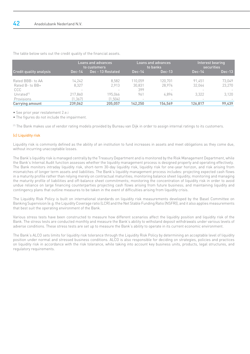|                                                    |                                               | Loans and advances<br>to customers |                   | Loans and advances<br>to banks         | Interest bearing<br><b>securities</b> |                  |
|----------------------------------------------------|-----------------------------------------------|------------------------------------|-------------------|----------------------------------------|---------------------------------------|------------------|
| <b>Credit quality analysis</b>                     | $Dec-14$                                      | Dec - 13 Restated                  | $Dec-14$          | $Dec-13$                               | $Dec-14$                              | $Dec-13$         |
| Rated BBB- to AA<br>Rated B- to BB+                | 14,242<br>8.327                               | 8.582<br>2.913                     | 110.059<br>30.831 | 120.701<br>28.974                      | 91.451<br>32.044                      | 73.049<br>23.270 |
| <b>CCC</b><br>Unrated <sup>[*]</sup><br>Provisions | $\overline{\phantom{a}}$<br>217.860<br>1,367) | 195.066<br>1,504)                  | 399<br>961        | ۰<br>4.894<br>$\overline{\phantom{a}}$ | -<br>3.322<br>$\,$                    | 3,120            |
| Carrying amount                                    | 239.062                                       | 205.057                            | 142.250           | 154.569                                | 126.817                               | 99,439           |

The table below sets out the credit quality of the financial assets.

• See prior year restatement 2.e.i

• The figures do not include the impairment.

(\*) The Bank makes use of vendor rating models provided by Bureau van Dijk in order to assign internal ratings to its customers.

# (c) Liquidity risk

Liquidity risk is commonly defined as the ability of an institution to fund increases in assets and meet obligations as they come due, without incurring unacceptable losses.

The Bank's liquidity risk is managed centrally by the Treasury Department and is monitored by the Risk Management Department, while the Bank's Internal Audit function assesses whether the liquidity management process is designed properly and operating effectively. The Bank monitors intraday liquidity risk, short-term 30-day liquidity risk, liquidity risk for one-year horizon, and risk arising from mismatches of longer term assets and liabilities. The Bank's liquidity management process includes: projecting expected cash flows in a maturity profile rather than relying merely on contractual maturities; monitoring balance sheet liquidity; monitoring and managing the maturity profile of liabilities and off-balance sheet commitments; monitoring the concentration of liquidity risk in order to avoid undue reliance on large financing counterparties projecting cash flows arising from future business; and maintaining liquidity and contingency plans that outline measures to be taken in the event of difficulties arising from liquidity crisis.

The Liquidity Risk Policy is built on international standards on liquidity risk measurements developed by the Basel Committee on Banking Supervision (e.g. the Liquidity Coverage ratio (LCR) and the Net Stable Funding Ratio (NSFR)), and it also applies measurements that best suit the operating environment of the Bank.

Various stress tests have been constructed to measure how different scenarios affect the liquidity position and liquidity risk of the Bank. The stress tests are conducted monthly and measure the Bank's ability to withstand deposit withdrawals under various levels of adverse conditions. These stress tests are set up to measure the Bank's ability to operate in its current economic environment.

The Bank's ALCO sets limits for liquidity risk tolerance through the Liquidity Risk Policy by determining an acceptable level of liquidity position under normal and stressed business conditions. ALCO is also responsible for deciding on strategies, policies and practices on liquidity risk in accordance with the risk tolerance, while taking into account key business units, products, legal structures, and regulatory requirements.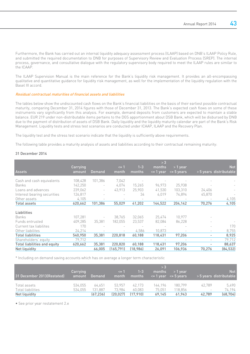Furthermore, the Bank has carried out an internal liquidity adequacy assessment process (ILAAP) based on DNB's ILAAP Policy Rule, and submitted the required documentation to DNB for purposes of Supervisory Review and Evaluation Process (SREP). The internal process, governance, and consultative dialogue with the regulatory supervisory body required to meet the ILAAP rules are similar to the ICAAP.

The ILAAP Supervision Manual is the main reference for the Bank's liquidity risk management. It provides an all-encompassing qualitative and quantitative guidance for liquidity risk management, as well for the implementation of the liquidity regulation with the Basel III accord.

### Residual contractual maturities of financial assets and liabilities

The tables below show the undiscounted cash flows on the Bank's financial liabilities on the basis of their earliest possible contractual maturity, comparing December 31, 2014 figures with those of December 31, 2013. The Bank's expected cash flows on some of these instruments vary significantly from this analysis. For example, demand deposits from customers are expected to maintain a stable balance. EUR 219 under non-distributable items pertains to the DGS apportionment about DSB Bank, which will be disbursed by DNB due to the payment of distribution of assets of DSB Bank. Daily liquidity and the liquidity maturity calendar are part of the Bank's Risk Management. Liquidity tests and stress test scenarios are conducted under ICAAP, ILAAP and the Recovery Plan.

The liquidity test and the stress test scenario indicate that the liquidity is sufficiently above requirements.

The following table provides a maturity analysis of assets and liabilities according to their contractual remaining maturity:

#### 31 December 2014

|                              |          |                          |            |          | >3           |                |                          |                         |
|------------------------------|----------|--------------------------|------------|----------|--------------|----------------|--------------------------|-------------------------|
|                              | Carrying |                          | $\leq$ 1   | $1 - 3$  | months       | $>1$ year      |                          | <b>Not</b>              |
| <b>Assets</b>                | amount   | <b>Demand</b>            | month      | months   | $\le$ 1 year | $\leq$ 5 years |                          | > 5 years distributable |
| Cash and cash equivalents    | 108.428  | 101,386                  | 7.042      |          |              |                |                          |                         |
| <b>Banks</b>                 | 142,250  | $\overline{\phantom{a}}$ | 4.074      | 15,265   | 96,973       | 25,938         |                          |                         |
| Loans and advances           | 239,062  | $\overline{\phantom{a}}$ | 43.913     | 25,903   | 41,530       | 103.310        | 24,406                   |                         |
| Interest bearing securities  | 126,817  |                          |            | 34       | 6,019        | 74,894         | 45,870                   |                         |
| Other assets                 | 4,105    |                          |            |          |              |                |                          | 4,105                   |
| Total assets                 | 620,662  | 101,386                  | 55,029     | 41,202   | 144,522      | 204,142        | 70,276                   | 4,105                   |
| <b>Liabilities</b>           |          |                          |            |          |              |                |                          |                         |
| <b>Banks</b>                 | 107.281  |                          | 38.765     | 32.065   | 25,474       | 10.977         | $\overline{\phantom{0}}$ |                         |
| Funds entrusted              | 409.285  | 35.381                   | 182,055    | 23,537   | 82,084       | 86.228         |                          |                         |
| Current tax liabilites       | 170      |                          |            |          |              |                |                          | 170                     |
| Other liabilites             | 24,214   |                          |            | 4,586    | 10,873       |                | $\sim$                   | 8,755                   |
| <b>Total liabilities</b>     | 540,950  | 35,381                   | 220,818    | 60,188   | 118,431      | 97,206         | ۰.                       | 8,925                   |
| Shareholders' equity         | 79.712   |                          |            |          |              |                | $\sim$                   | 79,712                  |
| Total liabilities and equity | 620,662  | 35,381                   | 220,820    | 60,188   | 118,431      | 97,206         | Ξ.                       | 88,637                  |
| Net liquidity                |          | 66,005                   | (165, 791) | (18,986) | 26,091       | 106,936        | 70,276                   | (84, 532)               |

\* Including on demand saving accounts which has on average a longer term characteristic

| 31 December 2013 (Restated)                        | Carrying<br>amount | Demand                         | $\leq$ 1<br>month            | $1 - 3$<br>months            | > 3<br>months               | $>1$ vear                    |                                                       | <b>Not</b><br>> 5 years distributable |
|----------------------------------------------------|--------------------|--------------------------------|------------------------------|------------------------------|-----------------------------|------------------------------|-------------------------------------------------------|---------------------------------------|
| Total assets<br>Total liabilities<br>Net liquidity | 534.055<br>534.055 | 64.651<br>131.887<br>(67, 236) | 53.957<br>73.984<br>(20.027) | 42.173<br>60.083<br>(17.910) | 144.196<br>75.051<br>69,145 | 180.799<br>118.856<br>61.943 | 42.789<br>$\hspace{1.0cm} - \hspace{1.0cm}$<br>42.789 | 5.490<br>74.194<br>(68, 704)          |

• See prior year restatement 2.e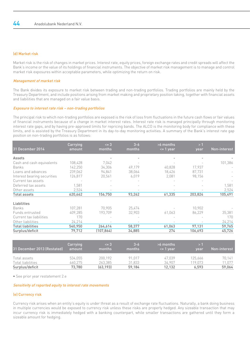# (d) Market risk

Market risk is the risk of changes in market prices. Interest rate, equity prices, foreign exchange rates and credit spreads will affect the Bank's income or the value of its holdings of financial instruments. The objective of market risk management is to manage and control market risk exposures within acceptable parameters, while optimizing the return on risk.

# Management of market risk

The Bank divides its exposure to market risk between trading and non-trading portfolios. Trading portfolios are mainly held by the Treasury Department, and include positions arising from market making and proprietary position taking, together with financial assets and liabilities that are managed on a fair value basis.

# Exposure to interest rate risk – non-trading portfolios

The principal risk to which non-trading portfolios are exposed is the risk of loss from fluctuations in the future cash flows or fair values of financial instruments because of a change in market interest rates. Interest rate risk is managed principally through monitoring interest rate gaps, and by having pre-approved limits for repricing bands. The ALCO is the monitoring body for compliance with these limits, and is assisted by the Treasury Department in its day-to-day monitoring activities. A summary of the Bank's interest rate gap position on non-trading portfolios is as follows:

| 31 December 2014            | Carrying<br>amount | $\leq$ 3<br>months | $3 - 6$<br>months | $>6$ months<br>$\leq$ 1 year | >1<br>year | Non-interest |
|-----------------------------|--------------------|--------------------|-------------------|------------------------------|------------|--------------|
|                             |                    |                    |                   |                              |            |              |
| Assets                      |                    |                    |                   |                              |            |              |
| Cash and cash equivalents   | 108.428            | 7.042              |                   |                              |            | 101,386      |
| Banks                       | 142,250            | 34,306             | 49,179            | 40,828                       | 17,937     |              |
| Loans and advances          | 239,062            | 94,841             | 38,064            | 18,426                       | 87,731     |              |
| Interest bearing securities | 126,817            | 20,561             | 6,019             | 2,081                        | 98,156     |              |
| Current tax assets          |                    |                    |                   |                              |            |              |
| Deferred tax assets         | 1,581              |                    |                   |                              |            | 1,581        |
| Other assets                | 2,524              |                    |                   |                              |            | 2,524        |
| Total assets                | 620,662            | 156,750            | 93,262            | 61,335                       | 203,824    | 105,491      |
| Liabilities                 |                    |                    |                   |                              |            |              |
| Banks                       | 107.281            | 70.905             | 25,474            |                              | 10.902     |              |
| Funds entrusted             | 409,285            | 193.709            | 32,903            | 61,063                       | 86,229     | 35,381       |
| Current tax liabilities     | 170                |                    |                   |                              |            | 170          |
| Other liabilities           | 24,214             |                    |                   |                              |            | 24,214       |
| <b>Total liabilities</b>    | 540,950            | 264,614            | 58,377            | 61,063                       | 97,131     | 59,765       |
| Surplus/deficit             | 79,712             | (107,864)          | 34,885            | 274                          | 106,693    | 45,726       |

| 31 December 2013 (Restated)          | Carrying<br>amount | $\leq$ 3<br>months   | $3 - 6$<br>months | $>6$ months<br>$\leq$ 1 vear | vear            | Non-interest     |
|--------------------------------------|--------------------|----------------------|-------------------|------------------------------|-----------------|------------------|
| Total assets                         | 534.055            | 200.192              | 91.017            | 47.039                       | 125.666         | 70.141           |
| Total liabilities<br>Surplus/deficit | 460.275<br>73.780  | 263.385<br>(63, 193) | 31.833<br>59.184  | 34.907<br>12.132             | 19.073<br>6.593 | 11.077<br>59,064 |

• See prior year restatement 2.e

# Sensitivity of reported equity to interest rate movements

# (e) Currency risk

Currency risk arises when an entity's equity is under threat as a result of exchange rate fluctuations. Naturally, a bank doing business in multiple currencies would be exposed to currency risk unless these risks are properly hedged. Any sizeable transaction that may incur currency risk is immediately hedged with a banking counterpart, while smaller transactions are gathered until they form a sizeable amount for hedging.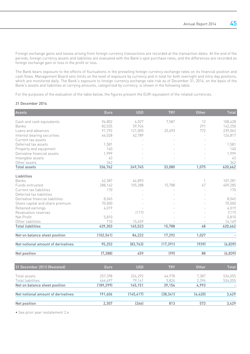Foreign exchange gains and losses arising from foreign currency transactions are recorded at the transaction dates. At the end of the periods, foreign currency assets and liabilities are evaluated with the Bank's spot purchase rates, and the differences are recorded as foreign exchange gain or loss in the profit or loss.

The Bank bears exposure to the effects of fluctuations in the prevailing foreign currency exchange rates on its financial position and cash flows. Management Board sets limits on the level of exposure by currency and in total for both overnight and intra-day positions, which are monitored daily. The Bank's exposure to foreign currency exchange rate risk as of December 31, 2014, on the basis of the Bank's assets and liabilities at carrying amounts, categorized by currency, is shown in the following table:

For the purposes of the evaluation of the table below, the figures present the EUR-equivalent of the related currencies.

### 31 December 2014

| <b>Assets</b>                      | Euro       | <b>USD</b> | <b>TRY</b> | <b>Other</b> | <b>Total</b> |
|------------------------------------|------------|------------|------------|--------------|--------------|
| Cash and cash equivalents          | 94,802     | 6,027      | 7,587      | 12           | 108,428      |
| Banks                              | 82,035     | 59,924     |            | 291          | 142,250      |
| Loans and advances                 | 91,792     | 121,005    | 25,493     | 772          | 239,062      |
| Interest bearing securities        | 64,028     | 62,789     |            |              | 126,817      |
| Current tax assets                 |            |            |            |              |              |
| Deferred tax assets                | 1,581      |            |            |              | 1,581        |
| Property and equipment             | 140        |            |            |              | 140          |
| Derivative financial assets        | 1,999      |            |            |              | 1,999        |
| Intangible assets                  | 43         |            |            |              | 43           |
| Other assets                       | 342        |            |            |              | 342          |
| <b>Total assets</b>                | 336,762    | 249,745    | 33,080     | 1,075        | 620,662      |
| Liabilities                        |            |            |            |              |              |
| Banks                              | 62,387     | 44,893     |            | 1            | 107,281      |
| Funds entrusted                    | 288,162    | 105,288    | 15,788     | 47           | 409,285      |
| Current tax liabilities            | 170        |            |            |              | 170          |
| Deferred tax liabilities           | $\bar{a}$  |            |            |              |              |
| Derivative financial liabilities   | 8,045      |            |            |              | 8,045        |
| Share capital and share premium    | 70,000     |            |            |              | 70,000       |
| Retained earnings                  | 4,019      |            |            |              | 4,019        |
| Revaluation reserves               |            | (117)      |            |              | (117)        |
| Net Profit                         | 5,810      |            |            |              | 5,810        |
| Other liabilities                  | 710        | 15,459     |            |              | 16,169       |
| <b>Total liabilities</b>           | 439,303    | 165,523    | 15,788     | 48           | 620,662      |
| Net on balance sheet position      | (102, 541) | 84,222     | 17,292     | 1,027        |              |
|                                    |            |            |            |              |              |
| Net notional amount of derivatives | 95,253     | (83, 763)  | (17, 391)  | (939)        | (6, 839)     |
| Net position                       | (7, 288)   | 459        | (99)       | 88           | (6, 839)     |
|                                    |            |            |            |              |              |
| 31 December 2013 (Restated)        | Euro       | <b>USD</b> | <b>TRY</b> | <b>Other</b> | <b>Total</b> |
| Total assets                       | 257,398    | 224,292    | 44,978     | 7,387        | 534,055      |
| Total liabilities                  | 446,697    | 79,141     | 5,824      | 2,394        | 534,055      |
| Net on balance sheet position      | (189, 299) | 145,151    | 39,154     | 4,993        |              |
| Net notional amount of derivatives | 191,606    | (145, 417) | (38, 341)  | (4, 420)     | 3,429        |
| Net position                       | 2.307      | (266)      | 813        | 573          | 3,429        |

• See prior year restatement 2.e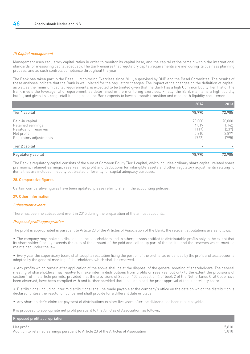# (f) Capital management

Management uses regulatory capital ratios in order to monitor its capital base, and the capital ratios remain within the international standards for measuring capital adequacy. The Bank ensures that regulatory capital requirements are met during its business planning process, and as such controls compliance throughout the year.

The Bank has taken part in the Basel III Monitoring Exercises since 2011, supervised by DNB and the Basel Committee. The results of these analyses indicate that the Bank is well placed for the regulatory changes. The impact of the changes on the definition of capital, as well as the minimum capital requirements, is expected to be limited given that the Bank has a high Common Equity Tier I ratio. The Bank meets the leverage ratio requirement, as determined in the monitoring exercises. Finally, the Bank maintains a high liquidity buffer, and given its strong retail funding base, the Bank expects to have a smooth transition and meet both liquidity requirements.

|                        | 2014   | 2013   |
|------------------------|--------|--------|
| Tier 1 capital         | 78,990 | 72,985 |
| Paid-in capital        | 70,000 | 70,000 |
| Retained earnings      | 4.019  | 1,142  |
| Revaluation reserves   | (117)  | (239)  |
| Net profit             | 5,810  | 2,877  |
| Regulatory adjustments | [722]  | (795)  |
| Tier 2 capital         | ۰.     |        |
| Regulatory capital     | 78,990 | 72,985 |

The Bank's regulatory capital consists of the sum of Common Equity Tier 1 capital, which includes ordinary share capital, related share premiums, retained earnings, reserves, net profit and deductions for intangible assets and other regulatory adjustments relating to items that are included in equity but treated differently for capital adequacy purposes.

# 28. Comparative figures

Certain comparative figures have been updated, please refer to 2 (e) in the accounting policies.

# 29. Other information

# Subsequent events

There has been no subsequent event in 2015 during the preparation of the annual accounts.

# Proposed profit appropriation

The profit is appropriated is pursuant to Article 23 of the Articles of Association of the Bank; the relevant stipulations are as follows:

• The company may make distributions to the shareholders and to other persons entitled to distributable profits only to the extent that its shareholders' equity exceeds the sum of the amount of the paid and called up part of the capital and the reserves which must be maintained under the law.

• Every year the supervisory board shall adopt a resolution fixing the portion of the profits, as evidenced by the profit and loss accounts adopted by the general meeting of shareholders, which shall be reserved.

• Any profits which remain after application of the above shall be at the disposal of the general meeting of shareholders. The general meeting of shareholders may resolve to make interim distributions from profits or reserves, but only to the extent the provisions of section 1 of this article permits, provided that the provisions of Section 105 subsection 4 of book 2 of the Netherlands Civil Code have been observed, have been complied with and further provided that it has obtained the prior approval of the supervisory board.

• Distributions (including interim distributions) shall be made payable at the company's office on the date on which the distribution is declared, unless the resolution concerned shall provide for a different date or place.

• Any shareholder's claim for payment of distributions expires five years after the dividend has been made payable.

It is proposed to appropriate net profit pursuant to the Articles of Association, as follows;

# Proposed profit appropriation

Net profit 5,810 Addition to retained earnings pursuant to Article 23 of the Articles of Association 5,810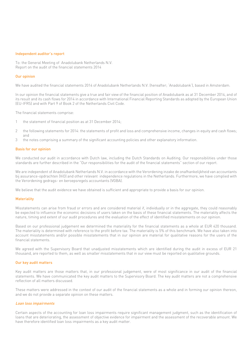#### Independent auditor's report

To: the General Meeting of Anadolubank Netherlands N.V. Report on the audit of the financial statements 2014

#### Our opinion

We have audited the financial statements 2014 of Anadolubank Netherlands N.V. (hereafter; 'Anadolubank'), based in Amsterdam.

In our opinion the financial statements give a true and fair view of the financial position of Anadolubank as at 31 December 2014, and of its result and its cash flows for 2014 in accordance with International Financial Reporting Standards as adopted by the European Union (EU-IFRS) and with Part 9 of Book 2 of the Netherlands Civil Code.

The financial statements comprise:

- 1 the statement of financial position as at 31 December 2014;
- 2 the following statements for 2014: the statements of profit and loss and comprehensive income, changes in equity and cash flows; and
- 3 the notes comprising a summary of the significant accounting policies and other explanatory information.

#### Basis for our opinion

We conducted our audit in accordance with Dutch law, including the Dutch Standards on Auditing. Our responsibilities under those standards are further described in the "Our responsibilities for the audit of the financial statements" section of our report.

We are independent of Anadolubank Netherlands N.V. in accordance with the Verordening inzake de onafhankelijkheid van accountants bij assurance-opdrachten (ViO) and other relevant independence regulations in the Netherlands. Furthermore, we have complied with the Verordening gedrags- en beroepsregels accountants (VGBA).

We believe that the audit evidence we have obtained is sufficient and appropriate to provide a basis for our opinion.

#### **Materiality**

Misstatements can arise from fraud or errors and are considered material if, individually or in the aggregate, they could reasonably be expected to influence the economic decisions of users taken on the basis of these financial statements. The materiality affects the nature, timing and extent of our audit procedures and the evaluation of the effect of identified misstatements on our opinion.

Based on our professional judgement we determined the materiality for the financial statements as a whole at EUR 420 thousand. The materiality is determined with reference to the profit before tax. The materiality is 5% of this benchmark. We have also taken into account misstatements and/or possible misstatements that in our opinion are material for qualitative reasons for the users of the financial statements.

We agreed with the Supervisory Board that unadjusted misstatements which are identified during the audit in excess of EUR 21 thousand, are reported to them, as well as smaller misstatements that in our view must be reported on qualitative grounds.

#### Our key audit matters

Key audit matters are those matters that, in our professional judgement, were of most significance in our audit of the financial statements. We have communicated the key audit matters to the Supervisory Board. The key audit matters are not a comprehensive reflection of all matters discussed.

These matters were addressed in the context of our audit of the financial statements as a whole and in forming our opinion thereon, and we do not provide a separate opinion on these matters.

#### Loan loss impairments

Certain aspects of the accounting for loan loss impairments require significant management judgment, such as the identification of loans that are deteriorating, the assessment of objective evidence for impairment and the assessment of the recoverable amount. We have therefore identified loan loss impairments as a key audit matter.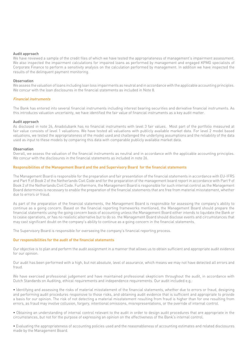### Audit approach

We have reviewed a sample of the credit files of which we have tested the appropriateness of management's impairment assessment. We also inspected the impairment calculations for impaired loans as performed by management and engaged KPMG specialists of Corporate Finance to perform a sensitivity analysis on the calculation performed by management. In addition we have inspected the results of the delinquent payment monitoring.

### Observation

We assess the valuation of loans including loan loss impairments as neutral and in accordance with the applicable accounting principles. We concur with the loan disclosures in the financial statements as included in Note 8.

### Financial instruments

The Bank has entered into several financial instruments including interest bearing securities and derivative financial instruments. As this introduces valuation uncertainty, we have identified the fair value of financial instruments as a key audit matter.

#### Audit approach

As disclosed in note 26, Anadolubank has no financial instruments with level 3 fair values. Most part of the portfolio measured at fair value consists of level 1 valuations. We have tested all valuations with publicly available market data. For level 2 model based valuations, we tested the appropriateness of the model used and challenged the underlying assumptions and the reliability of the data used as input to these models by comparing this data with comparable publicly available market data.

### Observation

Overall, we assess the valuation of the financial instruments as neutral and in accordance with the applicable accounting principles. We concur with the disclosures in the financial statements as included in note 26.

## Responsibilities of the Management Board and the and Supervisory Board for the financial statements

The Management Board is responsible for the preparation and fair presentation of the financial statements in accordance with EU-IFRS and Part 9 of Book 2 of the Netherlands Civil Code and for the preparation of the management board report in accordance with Part 9 of Book 2 of the Netherlands Civil Code. Furthermore, the Management Board is responsible for such internal control as the Management Board determines is necessary to enable the preparation of the financial statements that are free from material misstatement, whether due to errors or fraud.

As part of the preparation of the financial statements, the Management Board is responsible for assessing the company's ability to continue as a going concern. Based on the financial reporting frameworks mentioned, the Management Board should prepare the financial statements using the going concern basis of accounting unless the Management Board either intends to liquidate the Bank or to cease operations, or has no realistic alternative but to do so. the Management Board should disclose events and circumstances that may cast significant doubt on the company's ability to continue as a going concern in the financial statements.

The Supervisory Board is responsible for overseeing the company's financial reporting process.

### Our responsibilities for the audit of the financial statements

Our objective is to plan and perform the audit assignment in a manner that allows us to obtain sufficient and appropriate audit evidence for our opinion.

Our audit has been performed with a high, but not absolute, level of assurance, which means we may not have detected all errors and fraud.

We have exercised professional judgement and have maintained professional skepticism throughout the audit, in accordance with Dutch Standards on Auditing, ethical requirements and independence requirements. Our audit included e.g.:

• Identifying and assessing the risks of material misstatement of the financial statements, whether due to errors or fraud, designing and performing audit procedures responsive to those risks, and obtaining audit evidence that is sufficient and appropriate to provide a basis for our opinion. The risk of not detecting a material misstatement resulting from fraud is higher than for one resulting from errors, as fraud may involve collusion, forgery, intentional omissions, misrepresentations, or the override of internal control.

• Obtaining an understanding of internal control relevant to the audit in order to design audit procedures that are appropriate in the circumstances, but not for the purpose of expressing an opinion on the effectiveness of the Bank's internal control.

• Evaluating the appropriateness of accounting policies used and the reasonableness of accounting estimates and related disclosures made by the Management Board.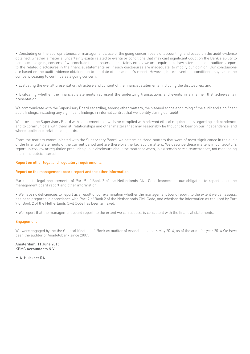• Concluding on the appropriateness of management's use of the going concern basis of accounting, and based on the audit evidence obtained, whether a material uncertainty exists related to events or conditions that may cast significant doubt on the Bank's ability to continue as a going concern. If we conclude that a material uncertainty exists, we are required to draw attention in our auditor's report to the related disclosures in the financial statements or, if such disclosures are inadequate, to modify our opinion. Our conclusions are based on the audit evidence obtained up to the date of our auditor's report. However, future events or conditions may cause the company ceasing to continue as a going concern.

• Evaluating the overall presentation, structure and content of the financial statements, including the disclosures; and

• Evaluating whether the financial statements represent the underlying transactions and events in a manner that achieves fair presentation.

We communicate with the Supervisory Board regarding, among other matters, the planned scope and timing of the audit and significant audit findings, including any significant findings in internal control that we identify during our audit.

We provide the Supervisory Board with a statement that we have complied with relevant ethical requirements regarding independence. and to communicate with them all relationships and other matters that may reasonably be thought to bear on our independence, and where applicable, related safeguards.

From the matters communicated with the Supervisory Board, we determine those matters that were of most significance in the audit of the financial statements of the current period and are therefore the key audit matters. We describe these matters in our auditor's report unless law or regulation precludes public disclosure about the matter or when, in extremely rare circumstances, not mentioning it is in the public interest.

### Report on other legal and regulatory requirements

#### Report on the management board report and the other information

Pursuant to legal requirements of Part 9 of Book 2 of the Netherlands Civil Code (concerning our obligation to report about the management board report and other information),:

• We have no deficiencies to report as a result of our examination whether the management board report, to the extent we can assess, has been prepared in accordance with Part 9 of Book 2 of the Netherlands Civil Code, and whether the information as required by Part 9 of Book 2 of the Netherlands Civil Code has been annexed.

• We report that the management board report, to the extent we can assess, is consistent with the financial statements.

#### **Engagement**

We were engaged by the the General Meeting of Bank as auditor of Anadolubank on 6 May 2014, as of the audit for year 2014.We have been the auditor of Anadolubank since 2007.

Amsterdam, 11 June 2015 KPMG Accountants N.V.

M.A. Huiskers RA